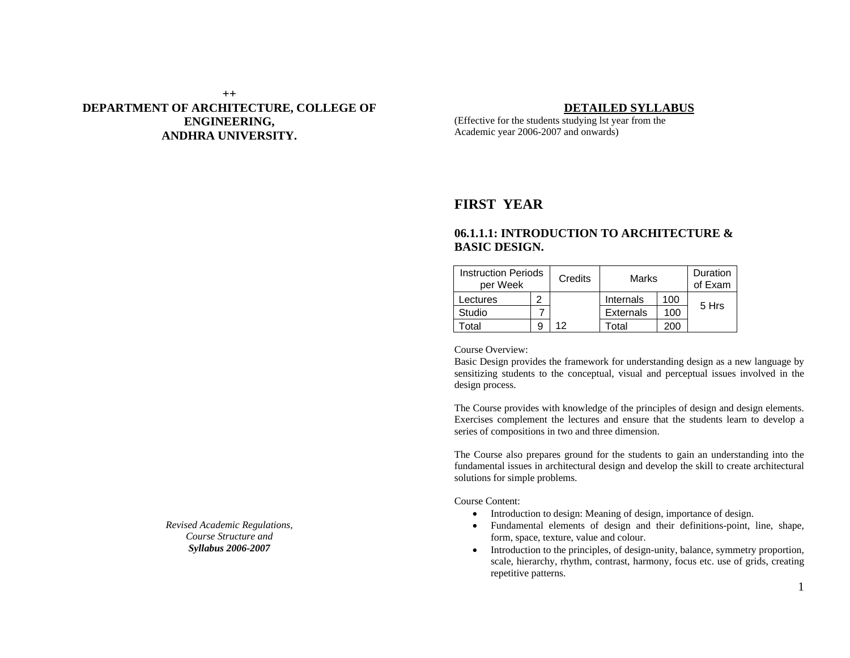## **++ DEPARTMENT OF ARCHITECTURE, COLLEGE OF ENGINEERING, ANDHRA UNIVERSITY.**

#### **DETAILED SYLLABUS**

(Effective for the students studying lst year from the Academic year 2006-2007 and onwards)

## **FIRST YEAR**

## **06.1.1.1: INTRODUCTION TO ARCHITECTURE & BASIC DESIGN.**

| <b>Instruction Periods</b><br>per Week |   | Credits | Marks            |     | Duration<br>of Exam |
|----------------------------------------|---|---------|------------------|-----|---------------------|
| Lectures                               | າ |         | Internals        | 100 |                     |
| Studio                                 |   |         | <b>Externals</b> | 100 | 5 Hrs               |
| Гоtal                                  | 9 | 12      | Total            | 200 |                     |

Course Overview:

Basic Design provides the framework for understanding design as a new language by sensitizing students to the conceptual, visual and perceptual issues involved in the design process.

The Course provides with knowledge of the principles of design and design elements. Exercises complement the lectures and ensure that the students learn to develop a series of compositions in two and three dimension.

The Course also prepares ground for the students to gain an understanding into the fundamental issues in architectural design and develop the skill to create architectural solutions for simple problems.

Course Content:

- Introduction to design: Meaning of design, importance of design.
- Fundamental elements of design and their definitions-point, line, shape, form, space, texture, value and colour.
- Introduction to the principles, of design-unity, balance, symmetry proportion, scale, hierarchy, rhythm, contrast, harmony, focus etc. use of grids, creating repetitive patterns.

*Revised Academic Regulations, Course Structure and Syllabus 2006-2007*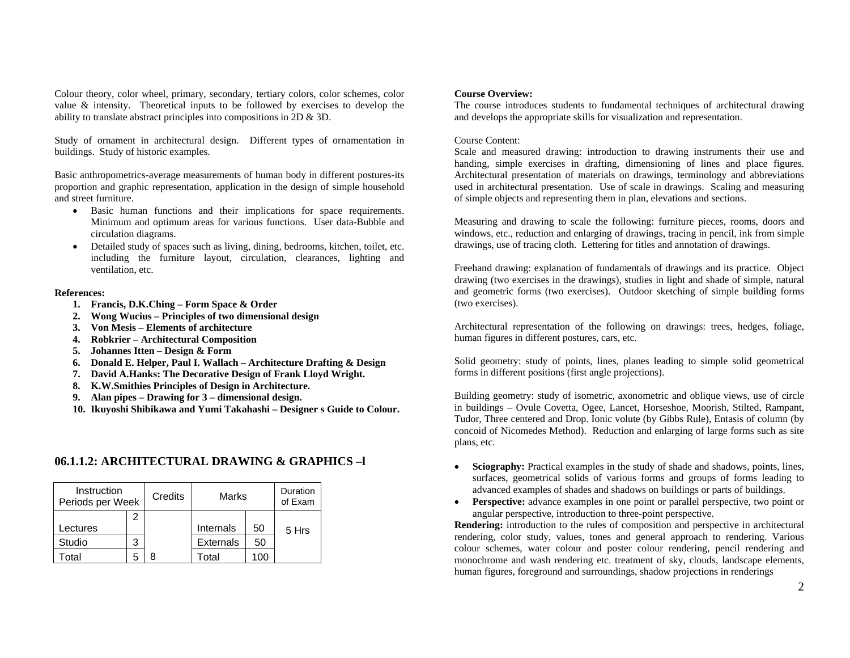Colour theory, color wheel, primary, secondary, tertiary colors, color schemes, color value & intensity. Theoretical inputs to be followed by exercises to develop the ability to translate abstract principles into compositions in 2D & 3D.

Study of ornament in architectural design. Different types of ornamentation in buildings. Study of historic examples.

Basic anthropometrics-average measurements of human body in different postures-its proportion and graphic representation, application in the design of simple household and street furniture.

- • Basic human functions and their implications for space requirements. Minimum and optimum areas for various functions. User data-Bubble and circulation diagrams.
- • Detailed study of spaces such as living, dining, bedrooms, kitchen, toilet, etc. including the furniture layout, circulation, clearances, lighting and ventilation, etc.

#### **References:**

- **1. Francis, D.K.Ching Form Space & Order**
- **2. Wong Wucius Principles of two dimensional design**
- **3. Von Mesis Elements of architecture**
- **4. Robkrier Architectural Composition**
- **5.Johannes Itten – Design & Form**
- **6. Donald E. Helper, Paul I. Wallach Architecture Drafting & Design**
- **7. David A.Hanks: The Decorative Design of Frank Lloyd Wright.**
- **8. K.W.Smithies Principles of Design in Architecture.**
- **9. Alan pipes Drawing for 3 dimensional design.**
- **10. Ikuyoshi Shibikawa and Yumi Takahashi Designer s Guide to Colour.**

## **06.1.1.2: ARCHITECTURAL DRAWING & GRAPHICS –l**

| Instruction<br>Periods per Week |   | Credits | Marks     |     | Duration<br>of Exam |
|---------------------------------|---|---------|-----------|-----|---------------------|
|                                 |   |         |           |     |                     |
| Lectures                        |   |         | Internals | 50  | 5 Hrs               |
| Studio                          | 3 |         | Externals | 50  |                     |
| otal                            |   |         | Total     | (0) |                     |

#### **Course Overview:**

The course introduces students to fundamental techniques of architectural drawing and develops the appropriate skills for visualization and representation.

#### Course Content:

Scale and measured drawing: introduction to drawing instruments their use and handing, simple exercises in drafting, dimensioning of lines and place figures. Architectural presentation of materials on drawings, terminology and abbreviations used in architectural presentation. Use of scale in drawings. Scaling and measuring of simple objects and representing them in plan, elevations and sections.

Measuring and drawing to scale the following: furniture pieces, rooms, doors and windows, etc., reduction and enlarging of drawings, tracing in pencil, ink from simple drawings, use of tracing cloth. Lettering for titles and annotation of drawings.

Freehand drawing: explanation of fundamentals of drawings and its practice. Object drawing (two exercises in the drawings), studies in light and shade of simple, natural and geometric forms (two exercises). Outdoor sketching of simple building forms (two exercises).

Architectural representation of the following on drawings: trees, hedges, foliage, human figures in different postures, cars, etc.

Solid geometry: study of points, lines, planes leading to simple solid geometrical forms in different positions (first angle projections).

Building geometry: study of isometric, axonometric and oblique views, use of circle in buildings – Ovule Covetta, Ogee, Lancet, Horseshoe, Moorish, Stilted, Rampant, Tudor, Three centered and Drop. Ionic volute (by Gibbs Rule), Entasis of column (by concoid of Nicomedes Method). Reduction and enlarging of large forms such as site plans, etc.

- • **Sciography:** Practical examples in the study of shade and shadows, points, lines, surfaces, geometrical solids of various forms and groups of forms leading to advanced examples of shades and shadows on buildings or parts of buildings.
- **Perspective:** advance examples in one point or parallel perspective, two point or angular perspective, introduction to three-point perspective.

**Rendering:** introduction to the rules of composition and perspective in architectural rendering, color study, values, tones and general approach to rendering. Various colour schemes, water colour and poster colour rendering, pencil rendering and monochrome and wash rendering etc. treatment of sky, clouds, landscape elements, human figures, foreground and surroundings, shadow projections in renderings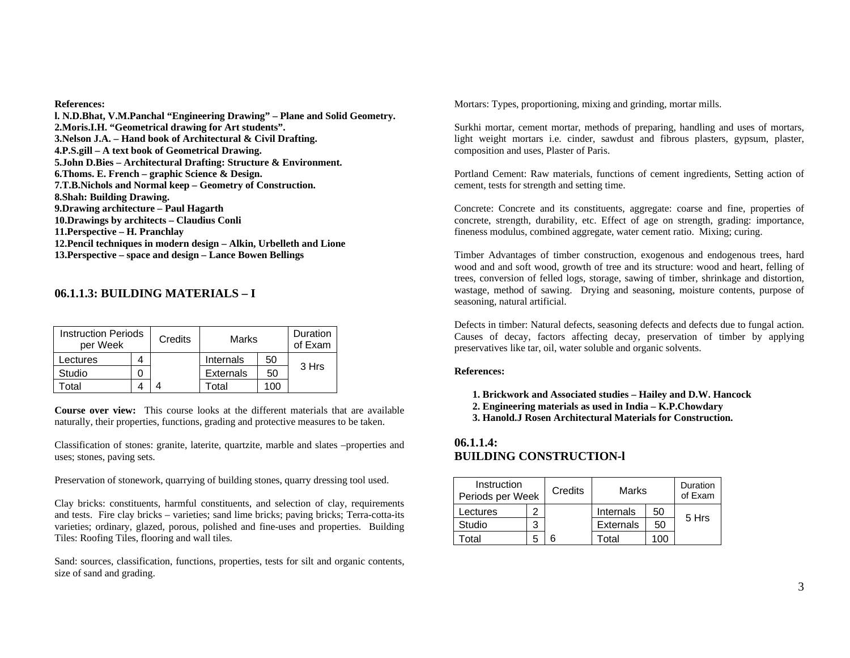#### **References:**

**l. N.D.Bhat, V.M.Panchal "Engineering Drawing" – Plane and Solid Geometry. 2.Moris.I.H. "Geometrical drawing for Art students". 3.Nelson J.A. – Hand book of Architectural & Civil Drafting. 4.P.S.gill – A text book of Geometrical Drawing. 5.John D.Bies – Architectural Drafting: Structure & Environment. 6.Thoms. E. French – graphic Science & Design. 7.T.B.Nichols and Normal keep – Geometry of Construction. 8.Shah: Building Drawing. 9.Drawing architecture – Paul Hagarth 10.Drawings by architects – Claudius Conli 11.Perspective – H. Pranchlay 12.Pencil techniques in modern design – Alkin, Urbelleth and Lione 13.Perspective – space and design – Lance Bowen Bellings**

## **06.1.1.3: BUILDING MATERIALS – I**

| per Week | <b>Instruction Periods</b> |  | Marks            |     | Duration<br>of Exam |
|----------|----------------------------|--|------------------|-----|---------------------|
| Lectures |                            |  | Internals        | 50  |                     |
| Studio   |                            |  | <b>Externals</b> | 50  | 3 Hrs               |
| otal     |                            |  | Total            | 100 |                     |

**Course over view:** This course looks at the different materials that are available naturally, their properties, functions, grading and protective measures to be taken.

Classification of stones: granite, laterite, quartzite, marble and slates –properties and uses; stones, paving sets.

Preservation of stonework, quarrying of building stones, quarry dressing tool used.

Clay bricks: constituents, harmful constituents, and selection of clay, requirements and tests. Fire clay bricks – varieties; sand lime bricks; paving bricks; Terra-cotta-its varieties; ordinary, glazed, porous, polished and fine-uses and properties. Building Tiles: Roofing Tiles, flooring and wall tiles.

Sand: sources, classification, functions, properties, tests for silt and organic contents, size of sand and grading.

Mortars: Types, proportioning, mixing and grinding, mortar mills.

Surkhi mortar, cement mortar, methods of preparing, handling and uses of mortars, light weight mortars i.e. cinder, sawdust and fibrous plasters, gypsum, plaster, composition and uses, Plaster of Paris.

Portland Cement: Raw materials, functions of cement ingredients, Setting action of cement, tests for strength and setting time.

Concrete: Concrete and its constituents, aggregate: coarse and fine, properties of concrete, strength, durability, etc. Effect of age on strength, grading: importance, fineness modulus, combined aggregate, water cement ratio. Mixing; curing.

Timber Advantages of timber construction, exogenous and endogenous trees, hard wood and and soft wood, growth of tree and its structure: wood and heart, felling of trees, conversion of felled logs, storage, sawing of timber, shrinkage and distortion, wastage, method of sawing. Drying and seasoning, moisture contents, purpose of seasoning, natural artificial.

Defects in timber: Natural defects, seasoning defects and defects due to fungal action. Causes of decay, factors affecting decay, preservation of timber by applying preservatives like tar, oil, water soluble and organic solvents.

#### **References:**

- **1. Brickwork and Associated studies Hailey and D.W. Hancock**
- **2. Engineering materials as used in India K.P.Chowdary**
- **3. Hanold.J Rosen Architectural Materials for Construction.**

## **06.1.1.4:BUILDING CONSTRUCTION-l**

| Instruction<br>Periods per Week | Credits | Marks            |     | Duration<br>of Exam |
|---------------------------------|---------|------------------|-----|---------------------|
| Lectures                        |         | Internals        | 50  |                     |
| Studio                          |         | <b>Externals</b> | 50  | 5 Hrs               |
| otal                            | 6       | Total            | 100 |                     |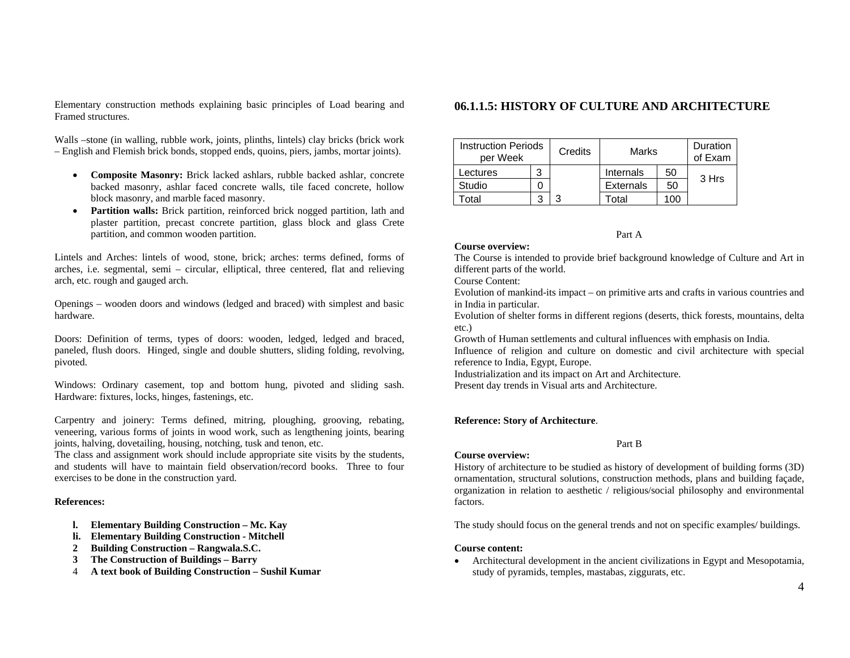Elementary construction methods explaining basic principles of Load bearing and Framed structures.

Walls –stone (in walling, rubble work, joints, plinths, lintels) clay bricks (brick work – English and Flemish brick bonds, stopped ends, quoins, piers, jambs, mortar joints).

- **Composite Masonry:** Brick lacked ashlars, rubble backed ashlar, concrete backed masonry, ashlar faced concrete walls, tile faced concrete, hollow block masonry, and marble faced masonry.
- • **Partition walls:** Brick partition, reinforced brick nogged partition, lath and plaster partition, precast concrete partition, glass block and glass Crete partition, and common wooden partition.

Lintels and Arches: lintels of wood, stone, brick; arches: terms defined, forms of arches, i.e. segmental, semi – circular, elliptical, three centered, flat and relieving arch, etc. rough and gauged arch.

Openings – wooden doors and windows (ledged and braced) with simplest and basic hardware.

Doors: Definition of terms, types of doors: wooden, ledged, ledged and braced, paneled, flush doors. Hinged, single and double shutters, sliding folding, revolving, pivoted.

Windows: Ordinary casement, top and bottom hung, pivoted and sliding sash. Hardware: fixtures, locks, hinges, fastenings, etc.

Carpentry and joinery: Terms defined, mitring, ploughing, grooving, rebating, veneering, various forms of joints in wood work, such as lengthening joints, bearing joints, halving, dovetailing, housing, notching, tusk and tenon, etc.

The class and assignment work should include appropriate site visits by the students, and students will have to maintain field observation/record books. Three to four exercises to be done in the construction yard.

#### **References:**

- **l. Elementary Building Construction Mc. Kay**
- **li. Elementary Building Construction Mitchell**
- **2Building Construction – Rangwala.S.C.**
- **3The Construction of Buildings – Barry**
- 4**A text book of Building Construction – Sushil Kumar**

## **06.1.1.5: HISTORY OF CULTURE AND ARCHITECTURE**

| <b>Instruction Periods</b><br>per Week |   | Credits | Marks            |     | Duration<br>of Exam |
|----------------------------------------|---|---------|------------------|-----|---------------------|
| Lectures                               | 3 |         | Internals        | 50  |                     |
| Studio                                 |   |         | <b>Externals</b> | 50  | 3 Hrs               |
| Total                                  |   | 3       | Гоtal            | 100 |                     |

Part A

#### **Course overview:**

The Course is intended to provide brief background knowledge of Culture and Art in different parts of the world.

Course Content:

Evolution of mankind-its impact – on primitive arts and crafts in various countries and in India in particular.

Evolution of shelter forms in different regions (deserts, thick forests, mountains, delta etc.)

Growth of Human settlements and cultural influences with emphasis on India.

Influence of religion and culture on domestic and civil architecture with special reference to India, Egypt, Europe.

Industrialization and its impact on Art and Architecture.

Present day trends in Visual arts and Architecture.

#### **Reference: Story of Architecture**.

#### **Course overview:**

History of architecture to be studied as history of development of building forms (3D) ornamentation, structural solutions, construction methods, plans and building façade, organization in relation to aesthetic / religious/social philosophy and environmental factors.

Part B

The study should focus on the general trends and not on specific examples/ buildings.

#### **Course content:**

• Architectural development in the ancient civilizations in Egypt and Mesopotamia, study of pyramids, temples, mastabas, ziggurats, etc.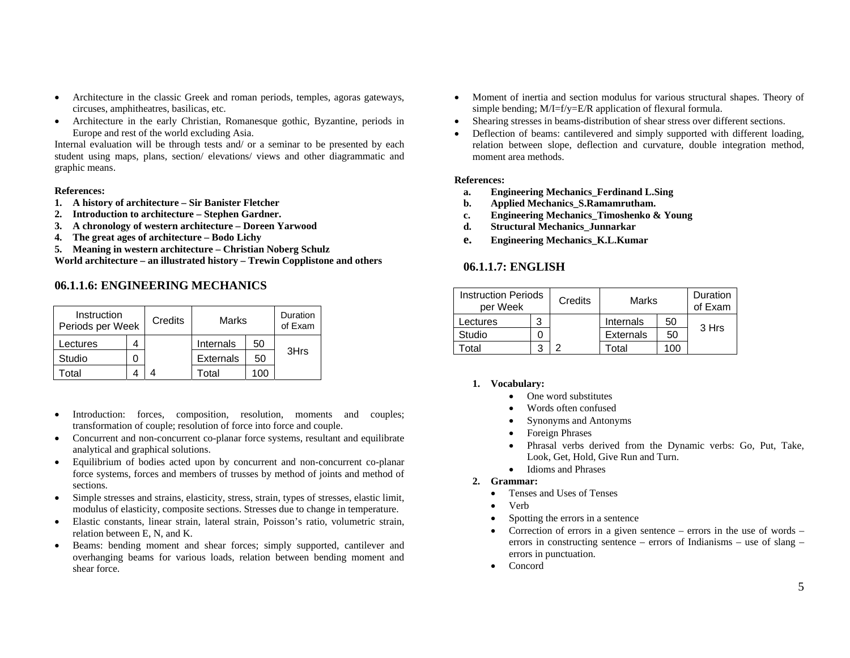- • Architecture in the classic Greek and roman periods, temples, agoras gateways, circuses, amphitheatres, basilicas, etc.
- • Architecture in the early Christian, Romanesque gothic, Byzantine, periods in Europe and rest of the world excluding Asia.

Internal evaluation will be through tests and/ or a seminar to be presented by each student using maps, plans, section/ elevations/ views and other diagrammatic and graphic means.

#### **References:**

- **1. A history of architecture Sir Banister Fletcher**
- **2. Introduction to architecture Stephen Gardner.**
- **3. A chronology of western architecture Doreen Yarwood**
- **4. The great ages of architecture Bodo Lichy**
- **5. Meaning in western architecture Christian Noberg Schulz**

**World architecture – an illustrated history – Trewin Copplistone and others** 

## **06.1.1.6: ENGINEERING MECHANICS**

| Instruction<br>Periods per Week | Credits |                  | Marks |      |
|---------------------------------|---------|------------------|-------|------|
| .ectures                        |         | Internals        | 50    |      |
| Studio                          |         | <b>Externals</b> | 50    | 3Hrs |
| otal                            |         | Total            | 100   |      |

- • Introduction: forces, composition, resolution, moments and couples; transformation of couple; resolution of force into force and couple.
- • Concurrent and non-concurrent co-planar force systems, resultant and equilibrate analytical and graphical solutions.
- • Equilibrium of bodies acted upon by concurrent and non-concurrent co-planar force systems, forces and members of trusses by method of joints and method of sections.
- • Simple stresses and strains, elasticity, stress, strain, types of stresses, elastic limit, modulus of elasticity, composite sections. Stresses due to change in temperature.
- • Elastic constants, linear strain, lateral strain, Poisson's ratio, volumetric strain, relation between E, N, and K.
- • Beams: bending moment and shear forces; simply supported, cantilever and overhanging beams for various loads, relation between bending moment and shear force.
- • Moment of inertia and section modulus for various structural shapes. Theory of simple bending;  $M/I=f/y=E/R$  application of flexural formula.
- •Shearing stresses in beams-distribution of shear stress over different sections.
- • Deflection of beams: cantilevered and simply supported with different loading, relation between slope, deflection and curvature, double integration method, moment area methods.

#### **References:**

- **a.Engineering Mechanics\_Ferdinand L.Sing**
- **b.Applied Mechanics\_S.Ramamrutham.**
- **c.Engineering Mechanics\_Timoshenko & Young**
- **d.Structural Mechanics\_Junnarkar**
- **e.Engineering Mechanics\_K.L.Kumar**

## **06.1.1.7: ENGLISH**

| <b>Instruction Periods</b><br>per Week |   | Credits | Marks     |     | Duration<br>of Exam |
|----------------------------------------|---|---------|-----------|-----|---------------------|
| Lectures                               | 3 |         | Internals | 50  | 3 Hrs               |
| Studio                                 |   |         | Externals | 50  |                     |
| otal                                   |   |         | Total     | 100 |                     |

#### **1. Vocabulary:**

- •One word substitutes
- •Words often confused
- •Synonyms and Antonyms
- •Foreign Phrases
- • Phrasal verbs derived from the Dynamic verbs: Go, Put, Take, Look, Get, Hold, Give Run and Turn.
- Idioms and Phrases
- **2. Grammar:** 
	- •Tenses and Uses of Tenses
	- •Verb
	- •Spotting the errors in a sentence
	- • Correction of errors in a given sentence – errors in the use of words – errors in constructing sentence – errors of Indianisms – use of slang – errors in punctuation.
	- $\bullet$ Concord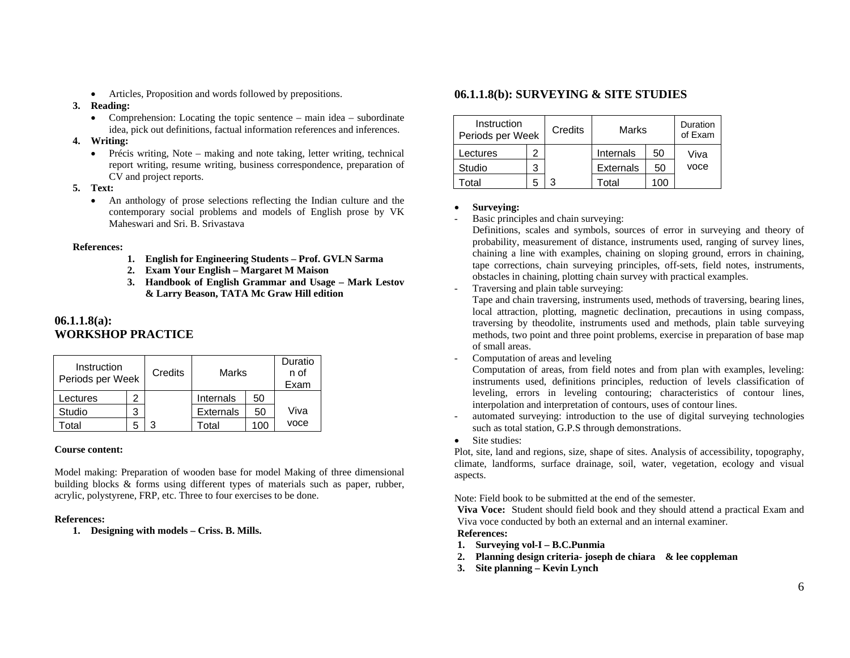• Articles, Proposition and words followed by prepositions.

#### **3. Reading:**

• Comprehension: Locating the topic sentence – main idea – subordinate idea, pick out definitions, factual information references and inferences.

#### **4. Writing:**

- Précis writing, Note making and note taking, letter writing, technical report writing, resume writing, business correspondence, preparation of CV and project reports.
- **5. Text:** 
	- An anthology of prose selections reflecting the Indian culture and the contemporary social problems and models of English prose by VK Maheswari and Sri. B. Srivastava

#### **References:**

- **1. English for Engineering Students Prof. GVLN Sarma**
- **2. Exam Your English Margaret M Maison**
- **3. Handbook of English Grammar and Usage Mark Lestov & Larry Beason, TATA Mc Graw Hill edition**

## **06.1.1.8(a): WORKSHOP PRACTICE**

| Instruction<br>Periods per Week |   | Credits | Marks            |     | Duratio<br>n of<br>Exam |
|---------------------------------|---|---------|------------------|-----|-------------------------|
| Lectures                        | 2 |         | Internals        | 50  |                         |
| Studio                          | 3 |         | <b>Externals</b> | 50  | Viva                    |
| otal                            | h | 2       | Total            | 100 | voce                    |

## **Course content:**

Model making: Preparation of wooden base for model Making of three dimensional building blocks & forms using different types of materials such as paper, rubber, acrylic, polystyrene, FRP, etc. Three to four exercises to be done.

#### **References:**

**1. Designing with models – Criss. B. Mills.** 

## **06.1.1.8(b): SURVEYING & SITE STUDIES**

| Instruction<br>Periods per Week |   | Credits | Marks            |     | Duration<br>of Exam |
|---------------------------------|---|---------|------------------|-----|---------------------|
| Lectures                        |   |         | Internals        | 50  | Viva                |
| Studio                          | 3 |         | <b>Externals</b> | 50  | voce                |
| Гоtal                           | h |         | Total            | 100 |                     |

#### •**Surveying:**

Basic principles and chain surveying:

Definitions, scales and symbols, sources of error in surveying and theory of probability, measurement of distance, instruments used, ranging of survey lines, chaining a line with examples, chaining on sloping ground, errors in chaining, tape corrections, chain surveying principles, off-sets, field notes, instruments, obstacles in chaining, plotting chain survey with practical examples.

Traversing and plain table surveying:

Tape and chain traversing, instruments used, methods of traversing, bearing lines, local attraction, plotting, magnetic declination, precautions in using compass, traversing by theodolite, instruments used and methods, plain table surveying methods, two point and three point problems, exercise in preparation of base map of small areas.

Computation of areas and leveling

Computation of areas, from field notes and from plan with examples, leveling: instruments used, definitions principles, reduction of levels classification of leveling, errors in leveling contouring; characteristics of contour lines, interpolation and interpretation of contours, uses of contour lines.

- automated surveying: introduction to the use of digital surveying technologies such as total station, G.P.S through demonstrations.
- •Site studies:

Plot, site, land and regions, size, shape of sites. Analysis of accessibility, topography, climate, landforms, surface drainage, soil, water, vegetation, ecology and visual aspects.

Note: Field book to be submitted at the end of the semester.

**Viva Voce:** Student should field book and they should attend a practical Exam and Viva voce conducted by both an external and an internal examiner.

**References:** 

- **1. Surveying vol-I B.C.Punmia**
- **2. Planning design criteria- joseph de chiara & lee coppleman**
- **3. Site planning Kevin Lynch**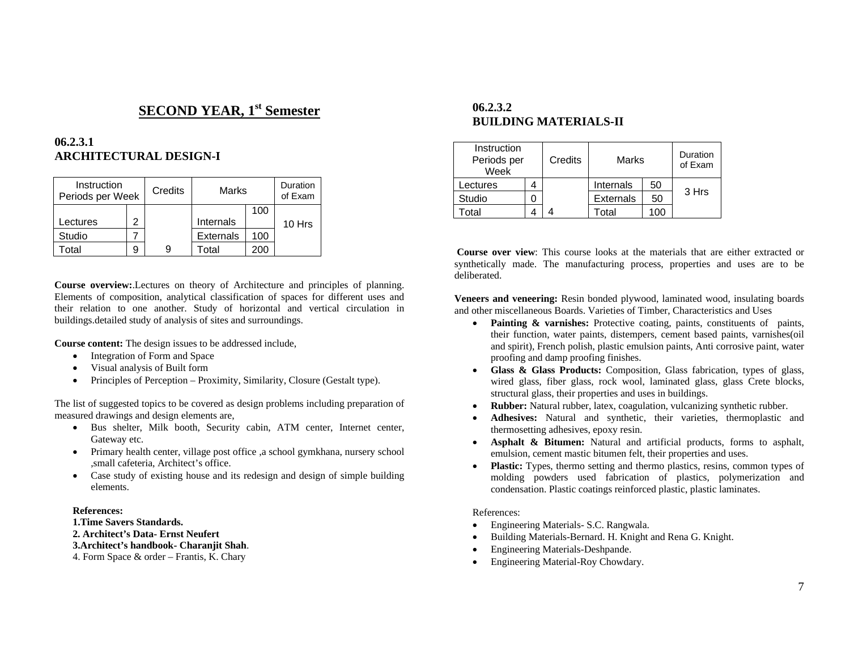# **SECOND YEAR, 1st Semester**

## **06.2.3.1 ARCHITECTURAL DESIGN-I**

| Instruction<br>Periods per Week |   | Credits | Marks            |     | Duration<br>of Exam |
|---------------------------------|---|---------|------------------|-----|---------------------|
|                                 |   |         |                  | 100 |                     |
| ectures.                        | 2 |         | Internals        |     | 10 Hrs              |
| Studio                          |   |         | <b>Externals</b> | 100 |                     |
| otal                            |   | 9       | T∩tal            | 200 |                     |

**Course overview:**.Lectures on theory of Architecture and principles of planning. Elements of composition, analytical classification of spaces for different uses and their relation to one another. Study of horizontal and vertical circulation in buildings.detailed study of analysis of sites and surroundings.

**Course content:** The design issues to be addressed include,

- $\bullet$ Integration of Form and Space
- •Visual analysis of Built form
- •Principles of Perception – Proximity, Similarity, Closure (Gestalt type).

The list of suggested topics to be covered as design problems including preparation of measured drawings and design elements are,

- Bus shelter, Milk booth, Security cabin, ATM center, Internet center, Gateway etc.
- Primary health center, village post office ,a school gymkhana, nursery school ,small cafeteria, Architect's office.
- Case study of existing house and its redesign and design of simple building elements.

#### **References:**

**1.Time Savers Standards.** 

- **2. Architect's Data- Ernst Neufert**
- **3.Architect's handbook- Charanjit Shah**.

4. Form Space & order – Frantis, K. Chary

## **06.2.3.2 BUILDING MATERIALS-II**

| Instruction<br>Periods per<br>Week | Credits |                  | Marks |       |
|------------------------------------|---------|------------------|-------|-------|
| Lectures                           |         | Internals        | 50    |       |
| Studio                             |         | <b>Externals</b> | 50    | 3 Hrs |
| otal                               |         | ⊺otal            | 100   |       |

**Course over view**: This course looks at the materials that are either extracted or synthetically made. The manufacturing process, properties and uses are to be deliberated.

**Veneers and veneering:** Resin bonded plywood, laminated wood, insulating boards and other miscellaneous Boards. Varieties of Timber, Characteristics and Uses

- •**Painting & varnishes:** Protective coating, paints, constituents of paints, their function, water paints, distempers, cement based paints, varnishes(oil and spirit), French polish, plastic emulsion paints, Anti corrosive paint, water proofing and damp proofing finishes.
- **Glass & Glass Products:** Composition, Glass fabrication, types of glass, wired glass, fiber glass, rock wool, laminated glass, glass Crete blocks, structural glass, their properties and uses in buildings.
- •**Rubber:** Natural rubber, latex, coagulation, vulcanizing synthetic rubber.
- • **Adhesives:** Natural and synthetic, their varieties, thermoplastic and thermosetting adhesives, epoxy resin.
- **Asphalt & Bitumen:** Natural and artificial products, forms to asphalt, emulsion, cement mastic bitumen felt, their properties and uses.
- •Plastic: Types, thermo setting and thermo plastics, resins, common types of molding powders used fabrication of plastics, polymerization and condensation. Plastic coatings reinforced plastic, plastic laminates.

#### References:

- •Engineering Materials- S.C. Rangwala.
- •Building Materials-Bernard. H. Knight and Rena G. Knight.
- •Engineering Materials-Deshpande.
- •Engineering Material-Roy Chowdary.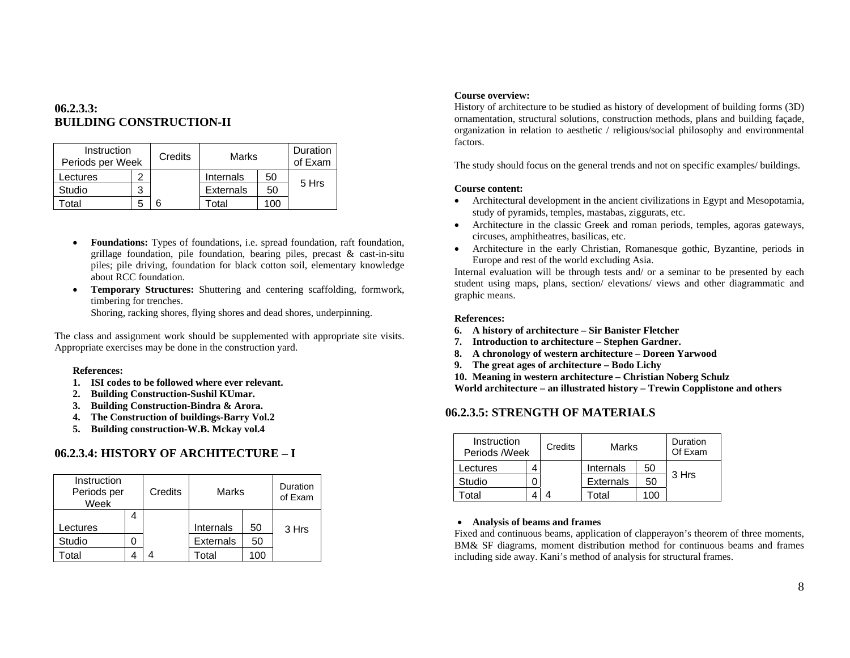## **06.2.3.3: BUILDING CONSTRUCTION-II**

| Instruction<br>Periods per Week |   | Credits | Marks             |     | Duration<br>of Exam |
|---------------------------------|---|---------|-------------------|-----|---------------------|
| .ectures                        |   |         | Internals         | 50  |                     |
| Studio                          | ິ |         | <b>Externals</b>  | 50  | 5 Hrs               |
| otal                            | 5 |         | <sup>-</sup> otal | 10C |                     |

- $\bullet$  **Foundations:** Types of foundations, i.e. spread foundation, raft foundation, grillage foundation, pile foundation, bearing piles, precast  $\&$  cast-in-situ piles; pile driving, foundation for black cotton soil, elementary knowledge about RCC foundation.
- • **Temporary Structures:** Shuttering and centering scaffolding, formwork, timbering for trenches. Shoring, racking shores, flying shores and dead shores, underpinning.

The class and assignment work should be supplemented with appropriate site visits. Appropriate exercises may be done in the construction yard.

#### **References:**

- **1. ISI codes to be followed where ever relevant.**
- **2.Building Construction-Sushil KUmar.**
- **3. Building Construction-Bindra & Arora.**
- **4. The Construction of buildings-Barry Vol.2**
- **5. Building construction-W.B. Mckay vol.4**

## **06.2.3.4: HISTORY OF ARCHITECTURE – I**

| Instruction<br>Periods per<br>Week |   | Credits | Marks            |     | Duration<br>of Exam |
|------------------------------------|---|---------|------------------|-----|---------------------|
|                                    | 4 |         |                  |     |                     |
| Lectures                           |   |         | Internals        | 50  | 3 Hrs               |
| Studio                             | O |         | <b>Externals</b> | 50  |                     |
| otal <sup>-</sup>                  |   |         | otal             | ٠OO |                     |

#### **Course overview:**

History of architecture to be studied as history of development of building forms (3D) ornamentation, structural solutions, construction methods, plans and building façade, organization in relation to aesthetic / religious/social philosophy and environmental factors.

The study should focus on the general trends and not on specific examples/ buildings.

#### **Course content:**

- • Architectural development in the ancient civilizations in Egypt and Mesopotamia, study of pyramids, temples, mastabas, ziggurats, etc.
- Architecture in the classic Greek and roman periods, temples, agoras gateways, circuses, amphitheatres, basilicas, etc.
- Architecture in the early Christian, Romanesque gothic, Byzantine, periods in Europe and rest of the world excluding Asia.

Internal evaluation will be through tests and/ or a seminar to be presented by each student using maps, plans, section/ elevations/ views and other diagrammatic and graphic means.

#### **References:**

- **6. A history of architecture Sir Banister Fletcher**
- **7.Introduction to architecture – Stephen Gardner.**
- **8. A chronology of western architecture Doreen Yarwood**
- **9. The great ages of architecture Bodo Lichy**
- **10. Meaning in western architecture Christian Noberg Schulz**
- **World architecture an illustrated history Trewin Copplistone and others**

## **06.2.3.5: STRENGTH OF MATERIALS**

| Instruction<br>Periods /Week | Credits | Marks            |      | Duration<br>Of Exam |
|------------------------------|---------|------------------|------|---------------------|
| Lectures                     |         | Internals        | 50   |                     |
| Studio                       |         | <b>Externals</b> | 50   | 3 Hrs               |
| otal                         |         | otal.            | - OC |                     |

## • **Analysis of beams and frames**

Fixed and continuous beams, application of clapperayon's theorem of three moments, BM& SF diagrams, moment distribution method for continuous beams and frames including side away. Kani's method of analysis for structural frames.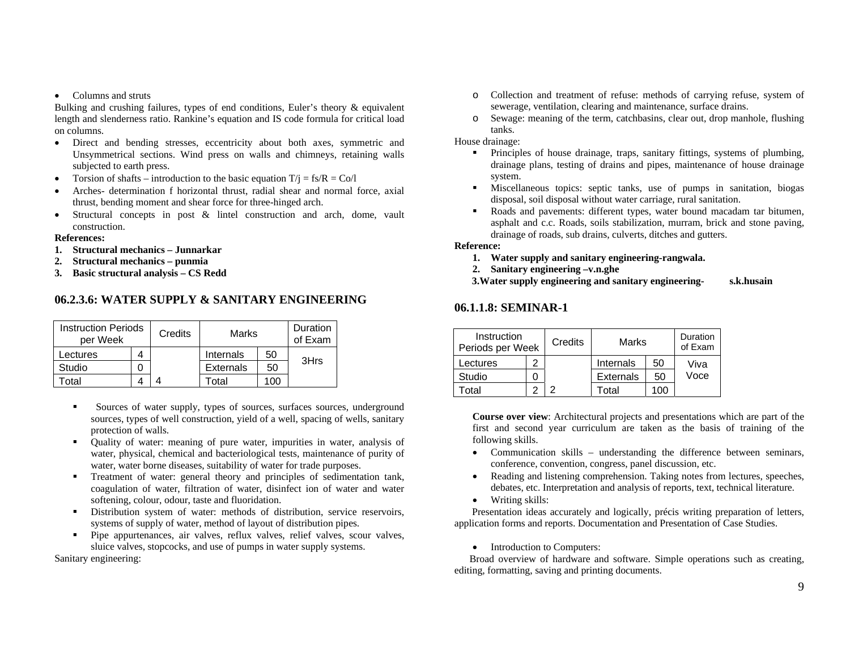#### • Columns and struts

Bulking and crushing failures, types of end conditions, Euler's theory & equivalent length and slenderness ratio. Rankine's equation and IS code formula for critical load on columns.

- Direct and bending stresses, eccentricity about both axes, symmetric and Unsymmetrical sections. Wind press on walls and chimneys, retaining walls subjected to earth press.
- •Torsion of shafts – introduction to the basic equation  $T/i = fs/R = Co/l$
- • Arches- determination f horizontal thrust, radial shear and normal force, axial thrust, bending moment and shear force for three-hinged arch.
- • Structural concepts in post & lintel construction and arch, dome, vault construction.

#### **References:**

- **1. Structural mechanics Junnarkar**
- **2. Structural mechanics punmia**
- **3. Basic structural analysis CS Redd**

## **06.2.3.6: WATER SUPPLY & SANITARY ENGINEERING**

| <b>Instruction Periods</b><br>per Week | Credits | Marks            |     | Duration<br>of Exam |
|----------------------------------------|---------|------------------|-----|---------------------|
| Lectures                               |         | Internals        | 50  |                     |
| Studio                                 |         | <b>Externals</b> | 50  | 3Hrs                |
| otal                                   |         | Total            | 100 |                     |

- Sources of water supply, types of sources, surfaces sources, underground sources, types of well construction, yield of a well, spacing of wells, sanitary protection of walls.
- $\blacksquare$  Quality of water: meaning of pure water, impurities in water, analysis of water, physical, chemical and bacteriological tests, maintenance of purity of water, water borne diseases, suitability of water for trade purposes.
- $\mathbf{u}$  Treatment of water: general theory and principles of sedimentation tank, coagulation of water, filtration of water, disinfect ion of water and water softening, colour, odour, taste and fluoridation.
- Distribution system of water: methods of distribution, service reservoirs, systems of supply of water, method of layout of distribution pipes.
- $\blacksquare$  Pipe appurtenances, air valves, reflux valves, relief valves, scour valves, sluice valves, stopcocks, and use of pumps in water supply systems.

Sanitary engineering:

- o Collection and treatment of refuse: methods of carrying refuse, system of sewerage, ventilation, clearing and maintenance, surface drains.
- o Sewage: meaning of the term, catchbasins, clear out, drop manhole, flushing tanks.

House drainage:

- Principles of house drainage, traps, sanitary fittings, systems of plumbing, drainage plans, testing of drains and pipes, maintenance of house drainage system.
- $\blacksquare$  Miscellaneous topics: septic tanks, use of pumps in sanitation, biogas disposal, soil disposal without water carriage, rural sanitation.
- n Roads and pavements: different types, water bound macadam tar bitumen, asphalt and c.c. Roads, soils stabilization, murram, brick and stone paving, drainage of roads, sub drains, culverts, ditches and gutters.

**Reference:** 

- **1. Water supply and sanitary engineering-rangwala.**
- **2. Sanitary engineering –v.n.ghe**

 **3.Water supply engineering and sanitary engineering- s.k.husain**

## **06.1.1.8: SEMINAR-1**

| Instruction<br>Periods per Week | Credits | Marks            |    | Duration<br>of Exam |
|---------------------------------|---------|------------------|----|---------------------|
| ectures.                        |         | Internals        | 50 | Viva                |
| Studio                          |         | <b>Externals</b> | 50 | Voce                |
| otal                            |         | Гоtal            | 0C |                     |

**Course over view**: Architectural projects and presentations which are part of the first and second year curriculum are taken as the basis of training of the following skills.

- Communication skills understanding the difference between seminars, conference, convention, congress, panel discussion, etc.
- Reading and listening comprehension. Taking notes from lectures, speeches, debates, etc. Interpretation and analysis of reports, text, technical literature.
- Writing skills:

 Presentation ideas accurately and logically, précis writing preparation of letters, application forms and reports. Documentation and Presentation of Case Studies.

• Introduction to Computers:

 Broad overview of hardware and software. Simple operations such as creating, editing, formatting, saving and printing documents.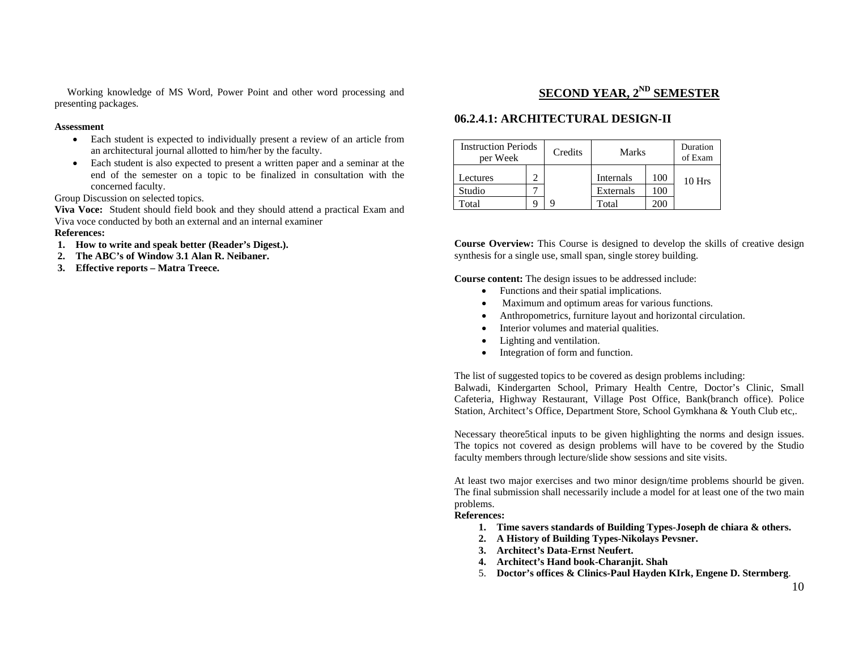Working knowledge of MS Word, Power Point and other word processing and presenting packages.

#### **Assessment**

- Each student is expected to individually present a review of an article from an architectural journal allotted to him/her by the faculty.
- • Each student is also expected to present a written paper and a seminar at the end of the semester on a topic to be finalized in consultation with the concerned faculty.

Group Discussion on selected topics.

**Viva Voce:** Student should field book and they should attend a practical Exam and Viva voce conducted by both an external and an internal examiner

#### **References:**

- **1. How to write and speak better (Reader's Digest.).**
- **2. The ABC's of Window 3.1 Alan R. Neibaner.**
- **3. Effective reports Matra Treece.**

## **SECOND YEAR, 2ND SEMESTER**

## **06.2.4.1: ARCHITECTURAL DESIGN-II**

| <b>Instruction Periods</b><br>per Week |  | Credits | <b>Marks</b> |         | Duration<br>of Exam |
|----------------------------------------|--|---------|--------------|---------|---------------------|
| Lectures                               |  |         | Internals    | 100     | 10 Hrs              |
| Studio                                 |  |         | Externals    | 100     |                     |
| Total                                  |  | a       | Total        | $200 -$ |                     |

**Course Overview:** This Course is designed to develop the skills of creative design synthesis for a single use, small span, single storey building.

**Course content:** The design issues to be addressed include:

- •Functions and their spatial implications.
- Maximum and optimum areas for various functions.
- •Anthropometrics, furniture layout and horizontal circulation.
- •Interior volumes and material qualities.
- $\bullet$ Lighting and ventilation.
- •Integration of form and function.

The list of suggested topics to be covered as design problems including: Balwadi, Kindergarten School, Primary Health Centre, Doctor's Clinic, Small Cafeteria, Highway Restaurant, Village Post Office, Bank(branch office). Police Station, Architect's Office, Department Store, School Gymkhana & Youth Club etc,.

Necessary theore5tical inputs to be given highlighting the norms and design issues. The topics not covered as design problems will have to be covered by the Studio faculty members through lecture/slide show sessions and site visits.

At least two major exercises and two minor design/time problems shourld be given. The final submission shall necessarily include a model for at least one of the two main problems.

#### **References:**

- **1. Time savers standards of Building Types-Joseph de chiara & others.**
- **2. A History of Building Types-Nikolays Pevsner.**
- **3. Architect's Data-Ernst Neufert.**
- **4. Architect's Hand book-Charanjit. Shah**
- 5. **Doctor's offices & Clinics-Paul Hayden KIrk, Engene D. Stermberg**.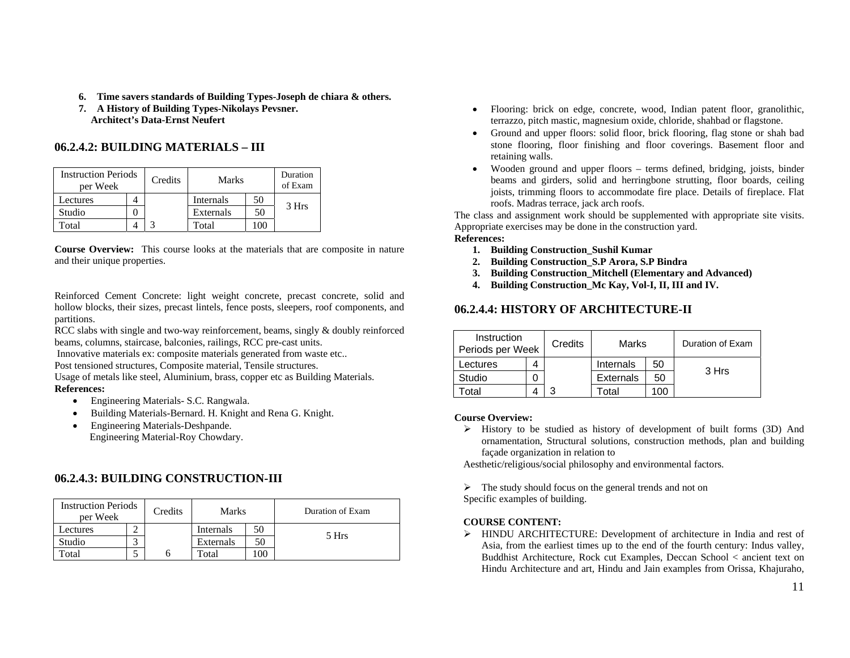- **6. Time savers standards of Building Types-Joseph de chiara & others.**
- **7. A History of Building Types-Nikolays Pevsner. Architect's Data-Ernst Neufert**

## **06.2.4.2: BUILDING MATERIALS – III**

| <b>Instruction Periods</b><br>per Week |  | Credits | <b>Marks</b> |    | Duration<br>of Exam |
|----------------------------------------|--|---------|--------------|----|---------------------|
| ectures                                |  |         | Internals    | 50 | 3 Hrs               |
| Studio                                 |  |         | Externals    | 50 |                     |
| "otal                                  |  |         | Total        |    |                     |

**Course Overview:** This course looks at the materials that are composite in nature and their unique properties.

Reinforced Cement Concrete: light weight concrete, precast concrete, solid and hollow blocks, their sizes, precast lintels, fence posts, sleepers, roof components, and partitions.

RCC slabs with single and two-way reinforcement, beams, singly & doubly reinforced beams, columns, staircase, balconies, railings, RCC pre-cast units.

Innovative materials ex: composite materials generated from waste etc..

Post tensioned structures, Composite material, Tensile structures.

Usage of metals like steel, Aluminium, brass, copper etc as Building Materials. **References:** 

- •Engineering Materials- S.C. Rangwala.
- •Building Materials-Bernard. H. Knight and Rena G. Knight.
- • Engineering Materials-Deshpande. Engineering Material-Roy Chowdary.

## **06.2.4.3: BUILDING CONSTRUCTION-III**

| <b>Instruction Periods</b><br>per Week |  | Credits | <b>Marks</b> |     | Duration of Exam |
|----------------------------------------|--|---------|--------------|-----|------------------|
| Lectures                               |  |         | Internals    | 50  |                  |
| Studio                                 |  |         | Externals    | 50  | 5 Hrs            |
| Total                                  |  | h       | Total        | 100 |                  |

- Flooring: brick on edge, concrete, wood, Indian patent floor, granolithic, terrazzo, pitch mastic, magnesium oxide, chloride, shahbad or flagstone.
- Ground and upper floors: solid floor, brick flooring, flag stone or shah bad stone flooring, floor finishing and floor coverings. Basement floor and retaining walls.
- Wooden ground and upper floors terms defined, bridging, joists, binder beams and girders, solid and herringbone strutting, floor boards, ceiling joists, trimming floors to accommodate fire place. Details of fireplace. Flat roofs. Madras terrace, jack arch roofs.

The class and assignment work should be supplemented with appropriate site visits. Appropriate exercises may be done in the construction yard.

## **References:**

- **1. Building Construction\_Sushil Kumar**
- **2. Building Construction\_S.P Arora, S.P Bindra**
- **3. Building Construction\_Mitchell (Elementary and Advanced)**
- **4. Building Construction\_Mc Kay, Vol-I, II, III and IV.**

## **06.2.4.4: HISTORY OF ARCHITECTURE-II**

| Instruction<br>Periods per Week | Credits | Marks             |     | Duration of Exam |
|---------------------------------|---------|-------------------|-----|------------------|
| Lectures                        |         | Internals         | 50  | 3 Hrs            |
| Studio                          |         | <b>Externals</b>  | 50  |                  |
| cotal                           |         | <sup>-</sup> otal | 100 |                  |

## **Course Overview:**

 $\triangleright$  History to be studied as history of development of built forms (3D) And ornamentation, Structural solutions, construction methods, plan and building façade organization in relation to

Aesthetic/religious/social philosophy and environmental factors.

 $\triangleright$  The study should focus on the general trends and not on

Specific examples of building.

## **COURSE CONTENT:**

¾ HINDU ARCHITECTURE: Development of architecture in India and rest of Asia, from the earliest times up to the end of the fourth century: Indus valley, Buddhist Architecture, Rock cut Examples, Deccan School < ancient text on Hindu Architecture and art, Hindu and Jain examples from Orissa, Khajuraho,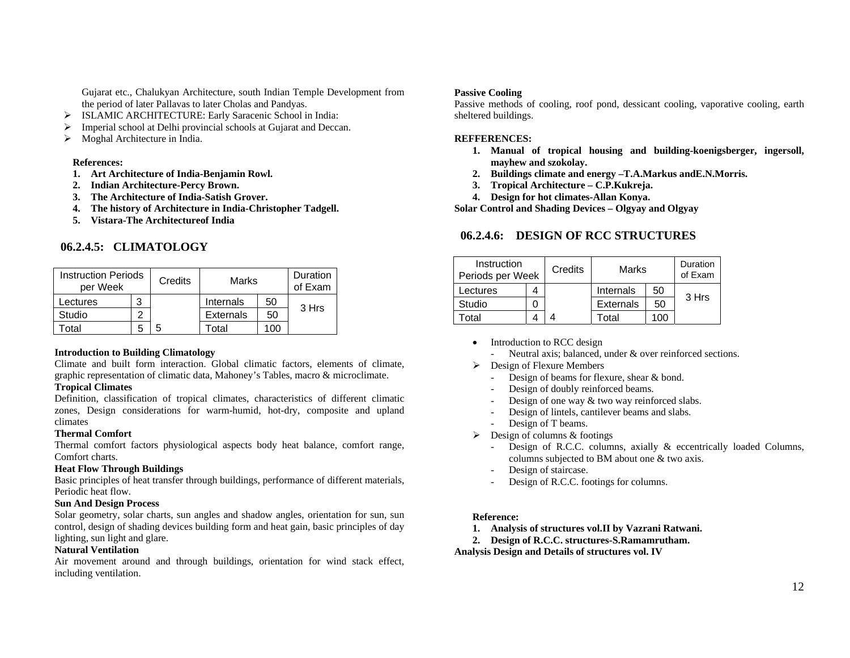Gujarat etc., Chalukyan Architecture, south Indian Temple Development from the period of later Pallavas to later Cholas and Pandyas.

- ¾ ISLAMIC ARCHITECTURE: Early Saracenic School in India:
- $\triangleright$  Imperial school at Delhi provincial schools at Gujarat and Deccan.
- $\triangleright$  Moghal Architecture in India.

#### **References:**

- **1. Art Architecture of India-Benjamin Rowl.**
- **2. Indian Architecture-Percy Brown.**
- **3. The Architecture of India-Satish Grover.**
- **4. The history of Architecture in India-Christopher Tadgell.**
- **5. Vistara-The Architectureof India**

## **06.2.4.5: CLIMATOLOGY**

| <b>Instruction Periods</b><br>per Week |   | Credits | Marks            |    | Duration<br>of Exam |
|----------------------------------------|---|---------|------------------|----|---------------------|
| Lectures                               | 3 |         | Internals        | 50 | 3 Hrs               |
| Studio                                 |   |         | <b>Externals</b> | 50 |                     |
| otal.                                  | b |         | Гоtal            | 00 |                     |

#### **Introduction to Building Climatology**

Climate and built form interaction. Global climatic factors, elements of climate, graphic representation of climatic data, Mahoney's Tables, macro & microclimate.

## **Tropical Climates**

Definition, classification of tropical climates, characteristics of different climatic zones, Design considerations for warm-humid, hot-dry, composite and upland climates

#### **Thermal Comfort**

Thermal comfort factors physiological aspects body heat balance, comfort range, Comfort charts.

#### **Heat Flow Through Buildings**

Basic principles of heat transfer through buildings, performance of different materials, Periodic heat flow.

#### **Sun And Design Process**

Solar geometry, solar charts, sun angles and shadow angles, orientation for sun, sun control, design of shading devices building form and heat gain, basic principles of day lighting, sun light and glare.

## **Natural Ventilation**

Air movement around and through buildings, orientation for wind stack effect, including ventilation.

#### **Passive Cooling**

Passive methods of cooling, roof pond, dessicant cooling, vaporative cooling, earth sheltered buildings.

#### **REFFERENCES:**

- **1. Manual of tropical housing and building-koenigsberger, ingersoll, mayhew and szokolay.**
- **2. Buildings climate and energy –T.A.Markus andE.N.Morris.**
- **3. Tropical Architecture C.P.Kukreja.**
- **4. Design for hot climates-Allan Konya.**

**Solar Control and Shading Devices – Olgyay and Olgyay**

## **06.2.4.6: DESIGN OF RCC STRUCTURES**

| Instruction<br>Periods per Week | Credits | Marks            |      | Duration<br>of Exam |
|---------------------------------|---------|------------------|------|---------------------|
| Lectures                        |         | Internals        | 50   |                     |
| Studio                          |         | <b>Externals</b> | 50   | 3 Hrs               |
| otal                            |         | Гоtal            | 100. |                     |

- Introduction to RCC design
	- Neutral axis; balanced, under  $\&$  over reinforced sections.
- $\triangleright$  Design of Flexure Members
	- -Design of beams for flexure, shear & bond.
	- -Design of doubly reinforced beams.
	- -Design of one way & two way reinforced slabs.
	- Design of lintels, cantilever beams and slabs.
	- Design of T beams.
- $\triangleright$  Design of columns & footings
	- - Design of R.C.C. columns, axially & eccentrically loaded Columns, columns subjected to BM about one & two axis.
	- -Design of staircase.
	- Design of R.C.C. footings for columns.

#### **Reference:**

- **1. Analysis of structures vol.II by Vazrani Ratwani.**
- **2. Design of R.C.C. structures-S.Ramamrutham.**

**Analysis Design and Details of structures vol. IV**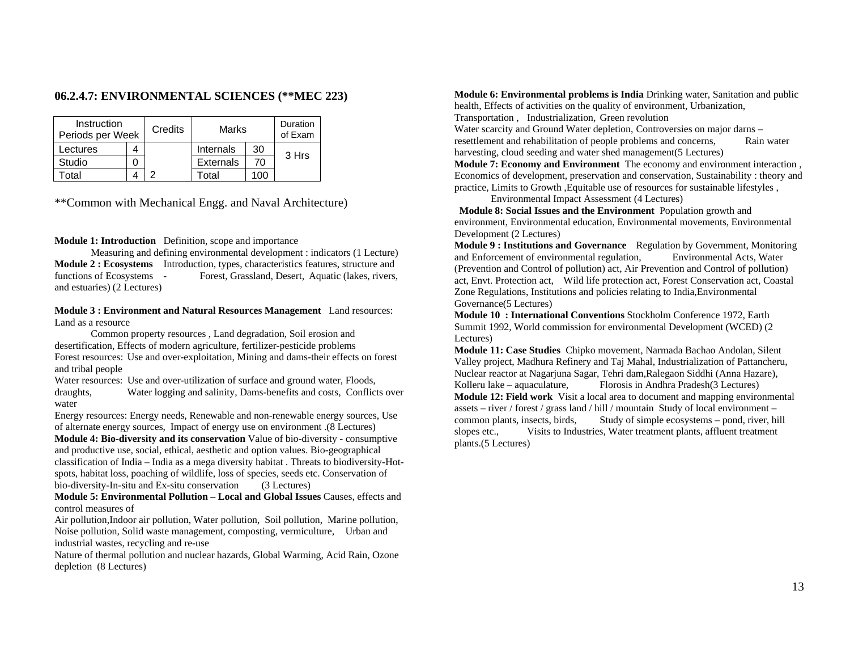## **06.2.4.7: ENVIRONMENTAL SCIENCES (\*\*MEC 223)**

| Instruction<br>Periods per Week | Credits | Marks             |    | Duration<br>of Exam |
|---------------------------------|---------|-------------------|----|---------------------|
| ectures.                        |         | Internals         | 30 |                     |
| Studio                          |         | <b>Externals</b>  | 70 | 3 Hrs               |
| otal                            |         | <sup>-</sup> otal |    |                     |

\*\*Common with Mechanical Engg. and Naval Architecture)

#### **Module 1: Introduction** Definition, scope and importance

 Measuring and defining environmental development : indicators (1 Lecture) **Module 2 : Ecosystems** Introduction, types, characteristics features, structure and functions of Ecosystems - Forest, Grassland, Desert, Aquatic (lakes, rivers, and estuaries) (2 Lectures)

#### **Module 3 : Environment and Natural Resources Management** Land resources: Land as a resource

 Common property resources , Land degradation, Soil erosion and desertification, Effects of modern agriculture, fertilizer-pesticide problems Forest resources: Use and over-exploitation, Mining and dams-their effects on forest and tribal people

Water resources: Use and over-utilization of surface and ground water, Floods, draughts, Water logging and salinity, Dams-benefits and costs, Conflicts over water

Energy resources: Energy needs, Renewable and non-renewable energy sources, Use of alternate energy sources, Impact of energy use on environment .(8 Lectures)

**Module 4: Bio-diversity and its conservation** Value of bio-diversity - consumptive and productive use, social, ethical, aesthetic and option values. Bio-geographical classification of India – India as a mega diversity habitat . Threats to biodiversity-Hotspots, habitat loss, poaching of wildlife, loss of species, seeds etc. Conservation of bio-diversity-In-situ and Ex-situ conservation (3 Lectures)

**Module 5: Environmental Pollution – Local and Global Issues** Causes, effects and control measures of

Air pollution,Indoor air pollution, Water pollution, Soil pollution, Marine pollution, Noise pollution, Solid waste management, composting, vermiculture, Urban and industrial wastes, recycling and re-use

Nature of thermal pollution and nuclear hazards, Global Warming, Acid Rain, Ozone depletion (8 Lectures)

**Module 6: Environmental problems is India** Drinking water, Sanitation and public health, Effects of activities on the quality of environment, Urbanization, Transportation , Industrialization, Green revolution

Water scarcity and Ground Water depletion, Controversies on major darns – resettlement and rehabilitation of people problems and concerns, Rain water harvesting, cloud seeding and water shed management(5 Lectures)

**Module 7: Economy and Environment** The economy and environment interaction , Economics of development, preservation and conservation, Sustainability : theory and practice, Limits to Growth ,Equitable use of resources for sustainable lifestyles ,

Environmental Impact Assessment (4 Lectures)

**Module 8: Social Issues and the Environment** Population growth and environment, Environmental education, Environmental movements, Environmental Development (2 Lectures)

**Module 9 : Institutions and Governance** Regulation by Government, Monitoring and Enforcement of environmental regulation, Environmental Acts, Water (Prevention and Control of pollution) act, Air Prevention and Control of pollution) act, Envt. Protection act, Wild life protection act, Forest Conservation act, Coastal Zone Regulations, Institutions and policies relating to India,Environmental Governance(5 Lectures)

**Module 10 : International Conventions** Stockholm Conference 1972, Earth Summit 1992, World commission for environmental Development (WCED) (2 Lectures)

**Module 11: Case Studies** Chipko movement, Narmada Bachao Andolan, Silent Valley project, Madhura Refinery and Taj Mahal, Industrialization of Pattancheru, Nuclear reactor at Nagarjuna Sagar, Tehri dam,Ralegaon Siddhi (Anna Hazare), Kolleru lake – aquaculature, Florosis in Andhra Pradesh(3 Lectures) **Module 12: Field work** Visit a local area to document and mapping environmental assets – river / forest / grass land / hill / mountain Study of local environment – common plants, insects, birds, Study of simple ecosystems – pond, river, hill slopes etc., Visits to Industries, Water treatment plants, affluent treatment plants.(5 Lectures)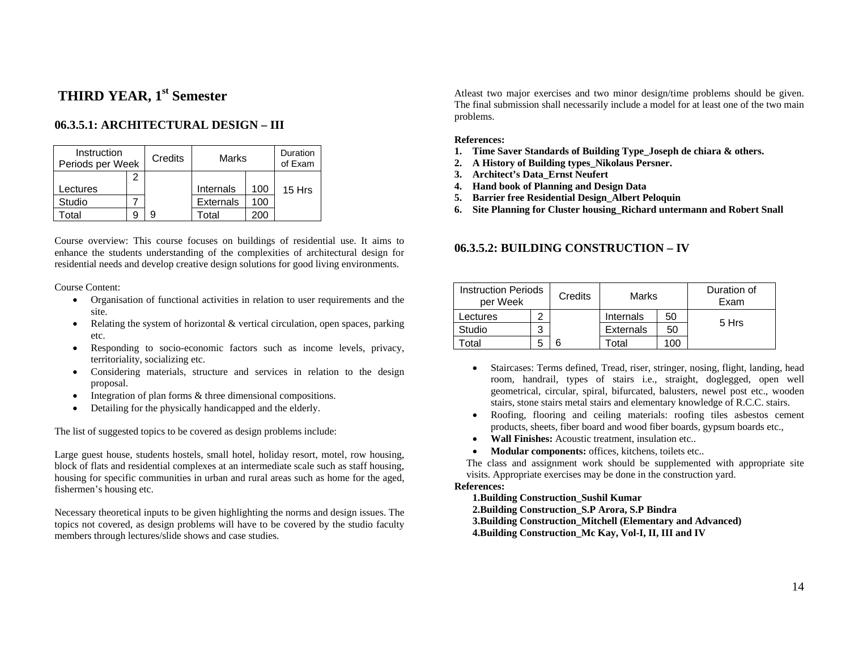# **THIRD YEAR, 1<sup>st</sup> Semester**

## **06.3.5.1: ARCHITECTURAL DESIGN – III**

| Instruction<br>Periods per Week |   | Credits | Marks            |     | Duration<br>of Exam |
|---------------------------------|---|---------|------------------|-----|---------------------|
|                                 | 2 |         |                  |     |                     |
| Lectures                        |   |         | Internals        | 100 | 15 Hrs              |
| Studio                          |   |         | <b>Externals</b> | 100 |                     |
| otal                            | g |         | Total            | 200 |                     |

Course overview: This course focuses on buildings of residential use. It aims to enhance the students understanding of the complexities of architectural design for residential needs and develop creative design solutions for good living environments.

Course Content:

- Organisation of functional activities in relation to user requirements and the site.
- • Relating the system of horizontal & vertical circulation, open spaces, parking etc.
- $\bullet$  Responding to socio-economic factors such as income levels, privacy, territoriality, socializing etc.
- Considering materials, structure and services in relation to the design proposal.
- •Integration of plan forms & three dimensional compositions.
- •Detailing for the physically handicapped and the elderly.

The list of suggested topics to be covered as design problems include:

Large guest house, students hostels, small hotel, holiday resort, motel, row housing, block of flats and residential complexes at an intermediate scale such as staff housing, housing for specific communities in urban and rural areas such as home for the aged, fishermen's housing etc.

Necessary theoretical inputs to be given highlighting the norms and design issues. The topics not covered, as design problems will have to be covered by the studio faculty members through lectures/slide shows and case studies.

Atleast two major exercises and two minor design/time problems should be given. The final submission shall necessarily include a model for at least one of the two main problems.

#### **References:**

- **1. Time Saver Standards of Building Type\_Joseph de chiara & others.**
- **2. A History of Building types\_Nikolaus Persner.**
- **3. Architect's Data\_Ernst Neufert**
- **4. Hand book of Planning and Design Data**
- **5. Barrier free Residential Design\_Albert Peloquin**
- **6. Site Planning for Cluster housing\_Richard untermann and Robert Snall**

## **06.3.5.2: BUILDING CONSTRUCTION – IV**

| <b>Instruction Periods</b><br>per Week |   | Credits | Marks            |     | Duration of<br>Exam |
|----------------------------------------|---|---------|------------------|-----|---------------------|
| ectures.                               |   |         | Internals        | 50  |                     |
| Studio                                 | 3 |         | <b>Externals</b> | 50  | 5 Hrs               |
| otal                                   | 5 | 6       | otal             | 100 |                     |

- • Staircases: Terms defined, Tread, riser, stringer, nosing, flight, landing, head room, handrail, types of stairs i.e., straight, doglegged, open well geometrical, circular, spiral, bifurcated, balusters, newel post etc., wooden stairs, stone stairs metal stairs and elementary knowledge of R.C.C. stairs.
- • Roofing, flooring and ceiling materials: roofing tiles asbestos cement products, sheets, fiber board and wood fiber boards, gypsum boards etc.,
- •**Wall Finishes:** Acoustic treatment, insulation etc..
- •**Modular components:** offices, kitchens, toilets etc..

The class and assignment work should be supplemented with appropriate site visits. Appropriate exercises may be done in the construction yard.

#### **References:**

**1.Building Construction\_Sushil Kumar** 

- **2.Building Construction\_S.P Arora, S.P Bindra**
- **3.Building Construction\_Mitchell (Elementary and Advanced)**

**4.Building Construction\_Mc Kay, Vol-I, II, III and IV**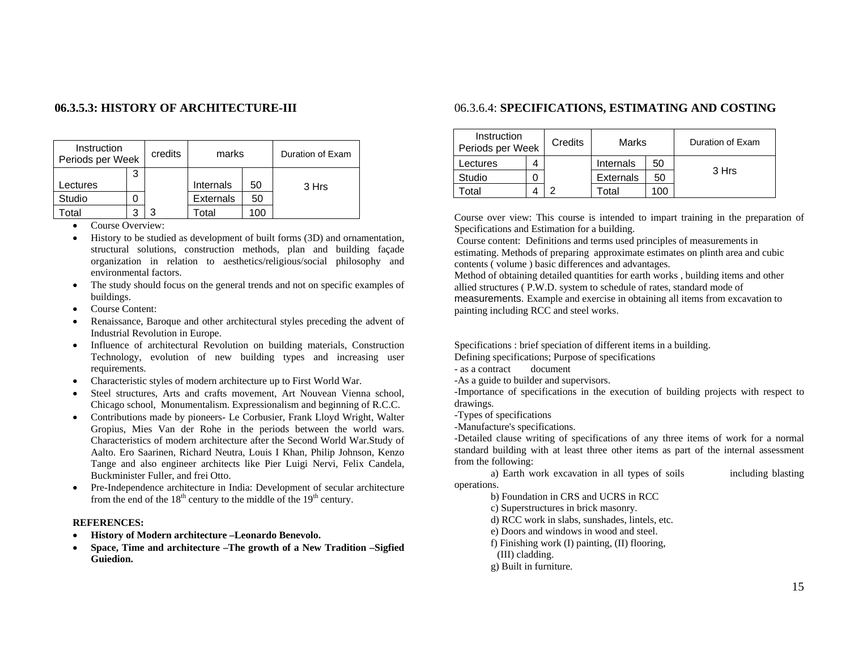## **06.3.5.3: HISTORY OF ARCHITECTURE-III**

| Instruction<br>Periods per Week |   | credits | marks            |     | Duration of Exam |
|---------------------------------|---|---------|------------------|-----|------------------|
|                                 | 3 |         |                  |     |                  |
| Lectures                        |   |         | Internals        | 50  | 3 Hrs            |
| Studio                          |   |         | <b>Externals</b> | 50  |                  |
| otal                            |   | ຊ       | Total            | 100 |                  |

- •Course Overview:
- • History to be studied as development of built forms (3D) and ornamentation, structural solutions, construction methods, plan and building façade organization in relation to aesthetics/religious/social philosophy and environmental factors.
- • The study should focus on the general trends and not on specific examples of buildings.
- Course Content:
- • Renaissance, Baroque and other architectural styles preceding the advent of Industrial Revolution in Europe.
- Influence of architectural Revolution on building materials, Construction Technology, evolution of new building types and increasing user requirements.
- Characteristic styles of modern architecture up to First World War.
- • Steel structures, Arts and crafts movement, Art Nouvean Vienna school, Chicago school, Monumentalism. Expressionalism and beginning of R.C.C.
- Contributions made by pioneers- Le Corbusier, Frank Lloyd Wright, Walter Gropius, Mies Van der Rohe in the periods between the world wars. Characteristics of modern architecture after the Second World War.Study of Aalto. Ero Saarinen, Richard Neutra, Louis I Khan, Philip Johnson, Kenzo Tange and also engineer architects like Pier Luigi Nervi, Felix Candela, Buckminister Fuller, and frei Otto.
- • Pre-Independence architecture in India: Development of secular architecture from the end of the  $18<sup>th</sup>$  century to the middle of the  $19<sup>th</sup>$  century.

#### **REFERENCES:**

- •**History of Modern architecture –Leonardo Benevolo.**
- • **Space, Time and architecture –The growth of a New Tradition –Sigfied Guiedion.**

## 06.3.6.4: **SPECIFICATIONS, ESTIMATING AND COSTING**

| Instruction<br>Periods per Week | Credits | Marks             |     | Duration of Exam |
|---------------------------------|---------|-------------------|-----|------------------|
| Lectures                        |         | Internals         | 50  |                  |
| Studio                          |         | <b>Externals</b>  | 50  | 3 Hrs            |
| otal                            |         | otal <sup>-</sup> | 100 |                  |

Course over view: This course is intended to impart training in the preparation of Specifications and Estimation for a building.

 Course content: Definitions and terms used principles of measurements in estimating. Methods of preparing approximate estimates on plinth area and cubic contents ( volume ) basic differences and advantages.

Method of obtaining detailed quantities for earth works , building items and other allied structures ( P.W.D. system to schedule of rates, standard mode of measurements. Example and exercise in obtaining all items from excavation to painting including RCC and steel works.

Specifications : brief speciation of different items in a building.

Defining specifications; Purpose of specifications

- as a contract document

-As a guide to builder and supervisors.

-Importance of specifications in the execution of building projects with respect to drawings.

-Types of specifications

-Manufacture's specifications.

-Detailed clause writing of specifications of any three items of work for a normal standard building with at least three other items as part of the internal assessment from the following:

 a) Earth work excavation in all types of soils including blasting operations.

b) Foundation in CRS and UCRS in RCC

c) Superstructures in brick masonry.

d) RCC work in slabs, sunshades, lintels, etc.

e) Doors and windows in wood and steel.

f) Finishing work (I) painting, (II) flooring,

(III) cladding.

g) Built in furniture.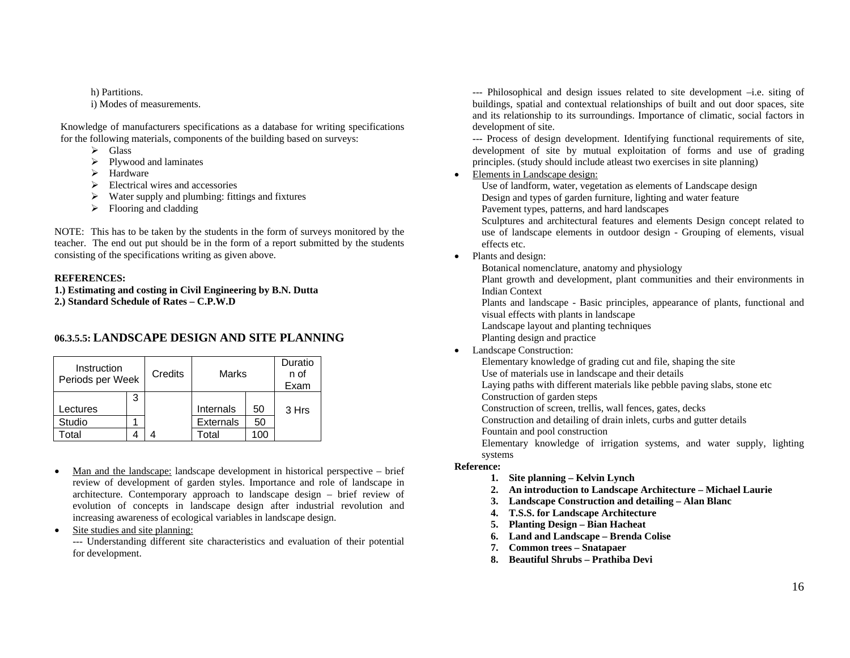h) Partitions. i) Modes of measurements.

Knowledge of manufacturers specifications as a database for writing specifications for the following materials, components of the building based on surveys:

- $\triangleright$  Glass
- $\triangleright$  Plywood and laminates
- $\blacktriangleright$  Hardware
- $\triangleright$  Electrical wires and accessories
- $\triangleright$  Water supply and plumbing: fittings and fixtures
- $\triangleright$  Flooring and cladding

NOTE: This has to be taken by the students in the form of surveys monitored by the teacher. The end out put should be in the form of a report submitted by the students consisting of the specifications writing as given above.

#### **REFERENCES:**

**1.) Estimating and costing in Civil Engineering by B.N. Dutta 2.) Standard Schedule of Rates – C.P.W.D** 

## **06.3.5.5: LANDSCAPE DESIGN AND SITE PLANNING**

| Instruction<br>Periods per Week |   | Credits | Marks            |    | Duratio<br>n of<br>Exam |
|---------------------------------|---|---------|------------------|----|-------------------------|
|                                 | 3 |         |                  |    |                         |
| Lectures                        |   |         | Internals        | 50 | 3 Hrs                   |
| Studio                          |   |         | <b>Externals</b> | 50 |                         |
| otal <sup>-</sup>               |   |         | otal             |    |                         |

- • Man and the landscape: landscape development in historical perspective – brief review of development of garden styles. Importance and role of landscape in architecture. Contemporary approach to landscape design – brief review of evolution of concepts in landscape design after industrial revolution and increasing awareness of ecological variables in landscape design.
- •Site studies and site planning:

--- Understanding different site characteristics and evaluation of their potential for development.

--- Philosophical and design issues related to site development –i.e. siting of buildings, spatial and contextual relationships of built and out door spaces, site and its relationship to its surroundings. Importance of climatic, social factors in development of site.

--- Process of design development. Identifying functional requirements of site, development of site by mutual exploitation of forms and use of grading principles. (study should include atleast two exercises in site planning)

•Elements in Landscape design:

Use of landform, water, vegetation as elements of Landscape design Design and types of garden furniture, lighting and water feature Pavement types, patterns, and hard landscapes

 Sculptures and architectural features and elements Design concept related to use of landscape elements in outdoor design - Grouping of elements, visual effects etc.

• Plants and design:

Botanical nomenclature, anatomy and physiology

Plant growth and development, plant communities and their environments in Indian Context

Plants and landscape - Basic principles, appearance of plants, functional and visual effects with plants in landscape

Landscape layout and planting techniques

Planting design and practice

## • Landscape Construction:

Elementary knowledge of grading cut and file, shaping the site

Use of materials use in landscape and their details

Laying paths with different materials like pebble paving slabs, stone etc Construction of garden steps

Construction of screen, trellis, wall fences, gates, decks

Construction and detailing of drain inlets, curbs and gutter details

Fountain and pool construction

Elementary knowledge of irrigation systems, and water supply, lighting systems

## **Reference:**

- **1. Site planning Kelvin Lynch**
- **2. An introduction to Landscape Architecture Michael Laurie**
- **3. Landscape Construction and detailing Alan Blanc**
- **4. T.S.S. for Landscape Architecture**
- **5. Planting Design Bian Hacheat**
- **6. Land and Landscape Brenda Colise**
- **7. Common trees Snatapaer**
- **8. Beautiful Shrubs Prathiba Devi**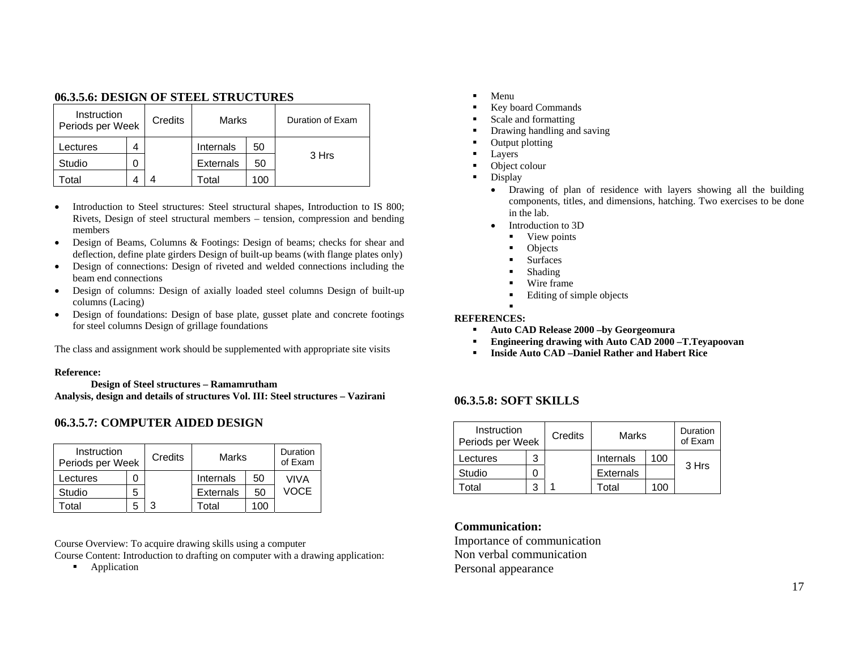## **06.3.5.6: DESIGN OF STEEL STRUCTURES**

| Instruction<br>Periods per Week |   | Credits | Marks           |     | Duration of Exam |
|---------------------------------|---|---------|-----------------|-----|------------------|
| Lectures                        | ⊿ |         | Internals       | 50  |                  |
| Studio                          |   |         | 50<br>Externals |     | 3 Hrs            |
| otal                            |   |         | Гоtal           | 100 |                  |

- • Introduction to Steel structures: Steel structural shapes, Introduction to IS 800; Rivets, Design of steel structural members – tension, compression and bending members
- $\bullet$  Design of Beams, Columns & Footings: Design of beams; checks for shear and deflection, define plate girders Design of built-up beams (with flange plates only)
- • Design of connections: Design of riveted and welded connections including the beam end connections
- • Design of columns: Design of axially loaded steel columns Design of built-up columns (Lacing)
- • Design of foundations: Design of base plate, gusset plate and concrete footings for steel columns Design of grillage foundations

The class and assignment work should be supplemented with appropriate site visits

#### **Reference:**

 **Design of Steel structures – Ramamrutham Analysis, design and details of structures Vol. III: Steel structures – Vazirani**

## **06.3.5.7: COMPUTER AIDED DESIGN**

| Instruction<br>Periods per Week |   | Credits | Marks            |     | Duration<br>of Exam |
|---------------------------------|---|---------|------------------|-----|---------------------|
| ectures.                        |   |         | Internals        | 50  | VIVA                |
| Studio                          | 5 |         | <b>Externals</b> | 50  | <b>VOCE</b>         |
| otal                            | 5 | 2       | Total            | 100 |                     |

Course Overview: To acquire drawing skills using a computer

Course Content: Introduction to drafting on computer with a drawing application:

 $\blacksquare$ Application

- n Menu
- n Key board Commands
- n Scale and formatting
- $\blacksquare$ Drawing handling and saving
- $\blacksquare$ Output plotting
- $\blacksquare$ Layers
- $\blacksquare$ Object colour
- $\blacksquare$  Display
	- Drawing of plan of residence with layers showing all the building components, titles, and dimensions, hatching. Two exercises to be done in the lab.
	- • Introduction to 3D
		- View points
		- г Objects
		- г Surfaces
		- г Shading
		- Г Wire frame
		- Г Editing of simple objects

## **REFERENCES:**

Г

- $\blacksquare$ **Auto CAD Release 2000 –by Georgeomura**
- **Engineering drawing with Auto CAD 2000 –T.Teyapoovan**
- n **Inside Auto CAD –Daniel Rather and Habert Rice**

## **06.3.5.8: SOFT SKILLS**

| Instruction<br>Periods per Week |   | Credits | Marks            |     | Duration<br>of Exam |
|---------------------------------|---|---------|------------------|-----|---------------------|
| Lectures                        | 3 |         | Internals        | 100 |                     |
| Studio                          |   |         | <b>Externals</b> |     | 3 Hrs               |
| otal                            |   |         | Total            | 100 |                     |

**Communication:** 

Importance of communication Non verbal communication Personal appearance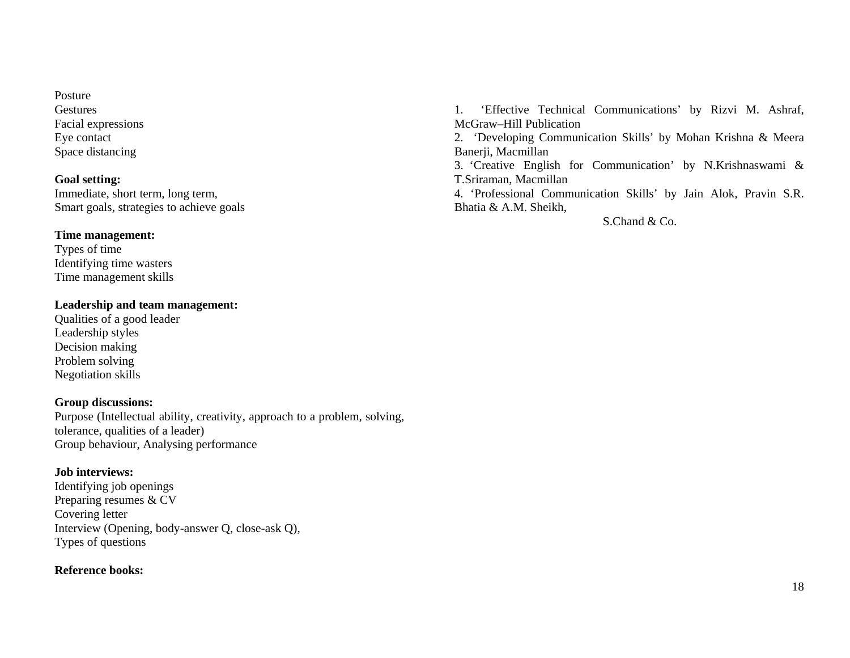Posture **Gestures** Facial expressions Eye contact Space distancing

## **Goal setting:**

Immediate, short term, long term, Smart goals, strategies to achieve goals

## **Time management:**

Types of time Identifying time wasters Time management skills

## **Leadership and team management:**

Qualities of a good leader Leadership styles Decision making Problem solving Negotiation skills

## **Group discussions:**

Purpose (Intellectual ability, creativity, approach to a problem, solving, tolerance, qualities of a leader) Group behaviour, Analysing performance

## **Job interviews:**

Identifying job openings Preparing resumes & CV Covering letter Interview (Opening, body-answer Q, close-ask Q), Types of questions

## **Reference books:**

1. 'Effective Technical Communications' by Rizvi M. Ashraf, McGraw–Hill Publication

2. 'Developing Communication Skills' by Mohan Krishna & Meera Banerji, Macmillan

3. 'Creative English for Communication' by N.Krishnaswami & T.Sriraman, Macmillan

4. 'Professional Communication Skills' by Jain Alok, Pravin S.R. Bhatia & A.M. Sheikh,

S.Chand & Co.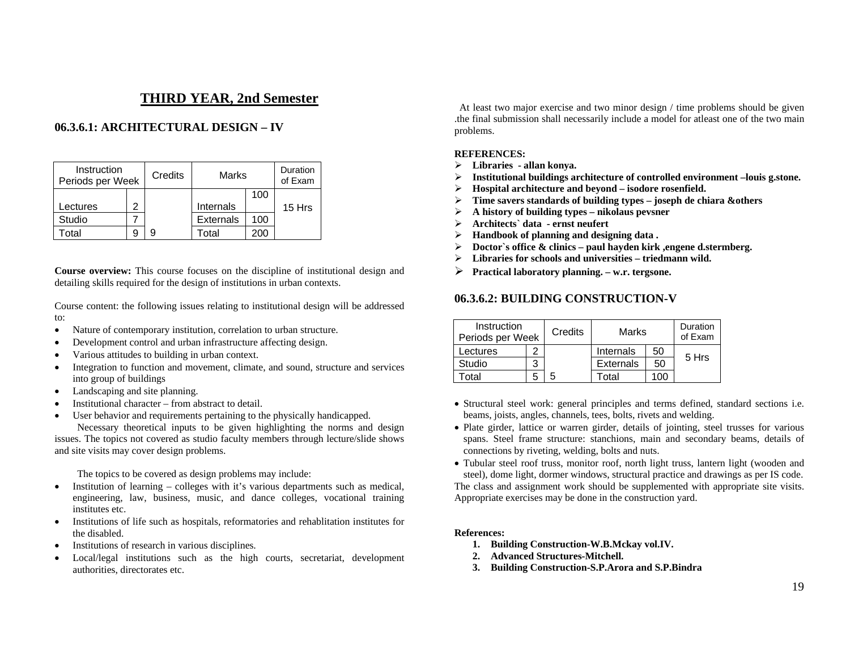## **THIRD YEAR, 2nd Semester**

## **06.3.6.1: ARCHITECTURAL DESIGN – IV**

| Instruction<br>Periods per Week |  | Credits | Marks            |      | Duration<br>of Exam |
|---------------------------------|--|---------|------------------|------|---------------------|
|                                 |  |         |                  | 100  |                     |
| ectures                         |  |         | Internals        |      | 15 Hrs              |
| Studio                          |  |         | <b>Externals</b> | 100  |                     |
| otal                            |  |         | Total            | י∩∩י |                     |

**Course overview:** This course focuses on the discipline of institutional design and detailing skills required for the design of institutions in urban contexts.

Course content: the following issues relating to institutional design will be addressed to:

- •Nature of contemporary institution, correlation to urban structure.
- •Development control and urban infrastructure affecting design.
- •Various attitudes to building in urban context.
- • Integration to function and movement, climate, and sound, structure and services into group of buildings
- •Landscaping and site planning.
- •Institutional character – from abstract to detail.
- •User behavior and requirements pertaining to the physically handicapped.

 Necessary theoretical inputs to be given highlighting the norms and design issues. The topics not covered as studio faculty members through lecture/slide shows and site visits may cover design problems.

The topics to be covered as design problems may include:

- Institution of learning colleges with it's various departments such as medical, engineering, law, business, music, and dance colleges, vocational training institutes etc.
- • Institutions of life such as hospitals, reformatories and rehablitation institutes for the disabled.
- •Institutions of research in various disciplines.
- • Local/legal institutions such as the high courts, secretariat, development authorities, directorates etc.

 At least two major exercise and two minor design / time problems should be given .the final submission shall necessarily include a model for atleast one of the two main problems.

#### **REFERENCES:**

- ¾**Libraries - allan konya.**
- $\triangleright$ **Institutional buildings architecture of controlled environment –louis g.stone.**
- $\triangleright$ **Hospital architecture and beyond – isodore rosenfield.**
- ¾**Time savers standards of building types – joseph de chiara &others**
- ¾**A history of building types – nikolaus pevsner**
- $\triangleright$ **Architects` data - ernst neufert**
- $\triangleright$ **Handbook of planning and designing data .**
- ¾**Doctor`s office & clinics – paul hayden kirk ,engene d.stermberg.**
- ¾**Libraries for schools and universities – triedmann wild.**
- $\blacktriangleright$ **Practical laboratory planning. – w.r. tergsone.**

#### **06.3.6.2: BUILDING CONSTRUCTION-V**

| Instruction<br>Periods per Week |   | Credits | Marks             |                 | Duration<br>of Exam |
|---------------------------------|---|---------|-------------------|-----------------|---------------------|
| Lectures                        |   |         | Internals         | 50              | 5 Hrs               |
| Studio                          | 3 |         | <b>Externals</b>  | 50              |                     |
| otal                            |   | 5       | <sup>-</sup> otal | 10 <sup>c</sup> |                     |

- Structural steel work: general principles and terms defined, standard sections i.e. beams, joists, angles, channels, tees, bolts, rivets and welding.
- Plate girder, lattice or warren girder, details of jointing, steel trusses for various spans. Steel frame structure: stanchions, main and secondary beams, details of connections by riveting, welding, bolts and nuts.
- Tubular steel roof truss, monitor roof, north light truss, lantern light (wooden and steel), dome light, dormer windows, structural practice and drawings as per IS code. The class and assignment work should be supplemented with appropriate site visits. Appropriate exercises may be done in the construction yard.

#### **References:**

- **1. Building Construction-W.B.Mckay vol.IV.**
- **2. Advanced Structures-Mitchell.**
- **3. Building Construction-S.P.Arora and S.P.Bindra**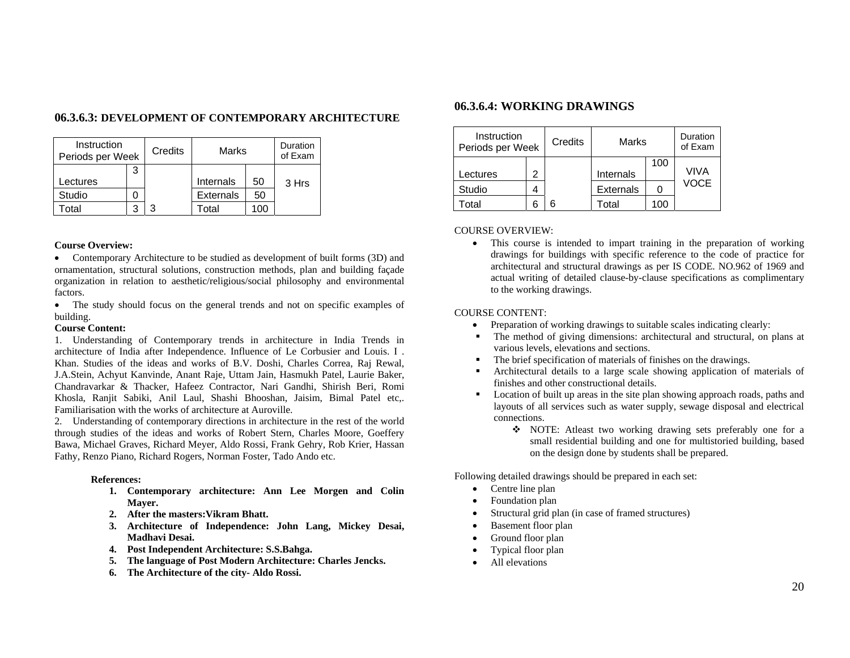|  | 06.3.6.3: DEVELOPMENT OF CONTEMPORARY ARCHITECTURE |
|--|----------------------------------------------------|
|--|----------------------------------------------------|

| Instruction<br>Periods per Week |   | Credits | Marks            |      | Duration<br>of Exam |
|---------------------------------|---|---------|------------------|------|---------------------|
|                                 | 3 |         |                  |      |                     |
| ectures.                        |   |         | Internals        | 50   | 3 Hrs               |
| Studio                          |   |         | <b>Externals</b> | 50   |                     |
| otal                            |   | ว       | Total            | l OC |                     |

#### **Course Overview:**

• Contemporary Architecture to be studied as development of built forms (3D) and ornamentation, structural solutions, construction methods, plan and building façade organization in relation to aesthetic/religious/social philosophy and environmental factors.

• The study should focus on the general trends and not on specific examples of building.

#### **Course Content:**

1. Understanding of Contemporary trends in architecture in India Trends in architecture of India after Independence. Influence of Le Corbusier and Louis. I . Khan. Studies of the ideas and works of B.V. Doshi, Charles Correa, Raj Rewal, J.A.Stein, Achyut Kanvinde, Anant Raje, Uttam Jain, Hasmukh Patel, Laurie Baker, Chandravarkar & Thacker, Hafeez Contractor, Nari Gandhi, Shirish Beri, Romi Khosla, Ranjit Sabiki, Anil Laul, Shashi Bhooshan, Jaisim, Bimal Patel etc,. Familiarisation with the works of architecture at Auroville.

2. Understanding of contemporary directions in architecture in the rest of the world through studies of the ideas and works of Robert Stern, Charles Moore, Goeffery Bawa, Michael Graves, Richard Meyer, Aldo Rossi, Frank Gehry, Rob Krier, Hassan Fathy, Renzo Piano, Richard Rogers, Norman Foster, Tado Ando etc.

#### **References:**

- **1. Contemporary architecture: Ann Lee Morgen and Colin Mayer.**
- **2. After the masters:Vikram Bhatt.**
- **3. Architecture of Independence: John Lang, Mickey Desai, Madhavi Desai.**
- **4. Post Independent Architecture: S.S.Bahga.**
- **5. The language of Post Modern Architecture: Charles Jencks.**
- **6. The Architecture of the city- Aldo Rossi.**

## **06.3.6.4: WORKING DRAWINGS**

| Instruction<br>Periods per Week |   | Credits | Marks            |     | Duration<br>of Exam |
|---------------------------------|---|---------|------------------|-----|---------------------|
| Lectures                        | 2 |         | Internals        | 100 | VIVA                |
| Studio                          |   |         | <b>Externals</b> |     | VOCE                |
| Гotal                           |   | հ       | Total            | 100 |                     |

COURSE OVERVIEW:

• This course is intended to impart training in the preparation of working drawings for buildings with specific reference to the code of practice for architectural and structural drawings as per IS CODE. NO.962 of 1969 and actual writing of detailed clause-by-clause specifications as complimentary to the working drawings.

#### COURSE CONTENT:

- •Preparation of working drawings to suitable scales indicating clearly:
- $\mathbf{r}$  The method of giving dimensions: architectural and structural, on plans at various levels, elevations and sections.
- П The brief specification of materials of finishes on the drawings.
- Architectural details to a large scale showing application of materials of finishes and other constructional details.
- Location of built up areas in the site plan showing approach roads, paths and layouts of all services such as water supply, sewage disposal and electrical connections.
	- NOTE: Atleast two working drawing sets preferably one for a small residential building and one for multistoried building, based on the design done by students shall be prepared.

Following detailed drawings should be prepared in each set:

- •Centre line plan
- •Foundation plan
- •Structural grid plan (in case of framed structures)
- •Basement floor plan
- •Ground floor plan
- •Typical floor plan
- •All elevations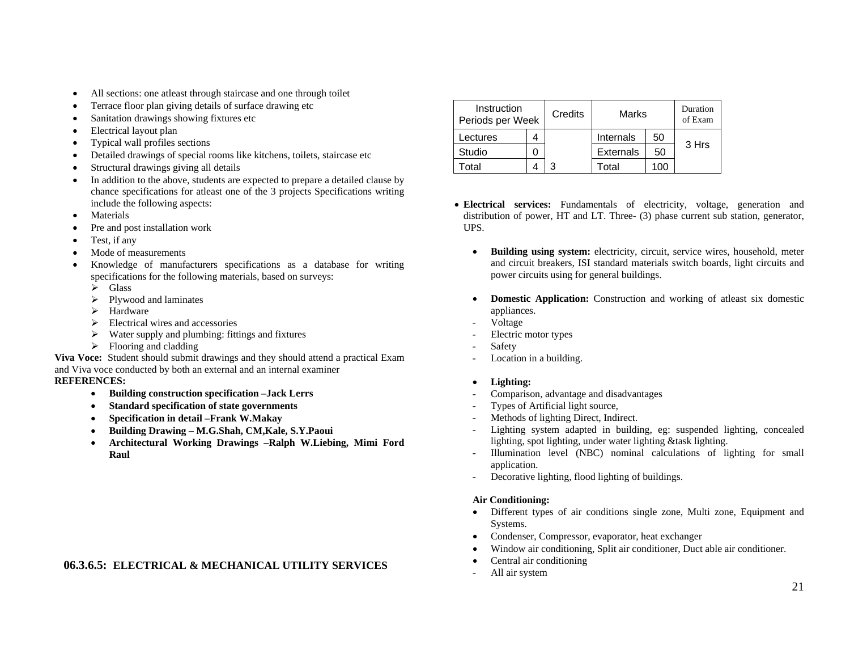- •All sections: one atleast through staircase and one through toilet
- •Terrace floor plan giving details of surface drawing etc
- •Sanitation drawings showing fixtures etc
- •Electrical layout plan
- •Typical wall profiles sections
- •Detailed drawings of special rooms like kitchens, toilets, staircase etc
- •Structural drawings giving all details
- • In addition to the above, students are expected to prepare a detailed clause by chance specifications for atleast one of the 3 projects Specifications writing include the following aspects:
- •Materials
- •Pre and post installation work
- •Test, if any
- •Mode of measurements
- • Knowledge of manufacturers specifications as a database for writing specifications for the following materials, based on surveys:
	- $\triangleright$  Glass
	- $\triangleright$  Plywood and laminates
	- $\blacktriangleright$  Hardware
	- $\triangleright$  Electrical wires and accessories
	- $\triangleright$  Water supply and plumbing: fittings and fixtures
	- $\triangleright$  Flooring and cladding

**Viva Voce:** Student should submit drawings and they should attend a practical Exam and Viva voce conducted by both an external and an internal examiner **REFERENCES:** 

- •**Building construction specification –Jack Lerrs**
- •**Standard specification of state governments**
- •**Specification in detail –Frank W.Makay**
- •**Building Drawing – M.G.Shah, CM,Kale, S.Y.Paoui**
- • **Architectural Working Drawings –Ralph W.Liebing, Mimi Ford Raul**

## **06.3.6.5: ELECTRICAL & MECHANICAL UTILITY SERVICES**

| Instruction<br>Periods per Week | Credits | Marks            |     | Duration<br>of Exam |
|---------------------------------|---------|------------------|-----|---------------------|
| Lectures                        |         | Internals        | 50  |                     |
| Studio                          |         | <b>Externals</b> | 50  | 3 Hrs               |
| ⊺otal                           | 3       | Total            | 100 |                     |

- **Electrical services:** Fundamentals of electricity, voltage, generation and distribution of power, HT and LT. Three- (3) phase current sub station, generator, UPS.
	- • **Building using system:** electricity, circuit, service wires, household, meter and circuit breakers, ISI standard materials switch boards, light circuits and power circuits using for general buildings.
	- • **Domestic Application:** Construction and working of atleast six domestic appliances.
	- Voltage
	- Electric motor types
	- Safety
	- Location in a building.
	- •**Lighting:**
	- Comparison, advantage and disadvantages
	- Types of Artificial light source,
	- Methods of lighting Direct, Indirect.
	- Lighting system adapted in building, eg: suspended lighting, concealed lighting, spot lighting, under water lighting &task lighting.
	- - Illumination level (NBC) nominal calculations of lighting for small application.
	- -Decorative lighting, flood lighting of buildings.

## **Air Conditioning:**

- Different types of air conditions single zone, Multi zone, Equipment and Systems.
- •Condenser, Compressor, evaporator, heat exchanger
- •Window air conditioning, Split air conditioner, Duct able air conditioner.
- •Central air conditioning
- All air system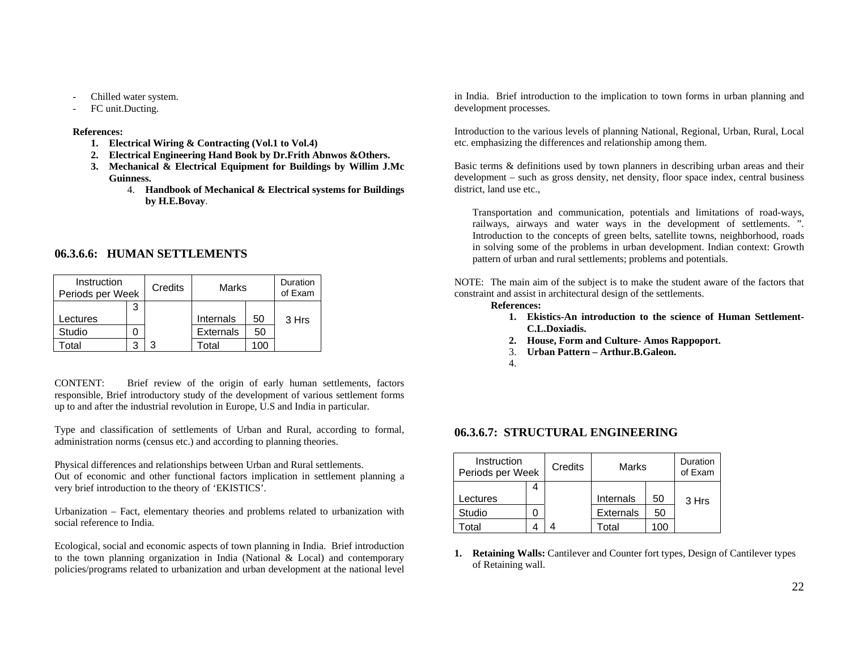- Chilled water system.
- FC unit.Ducting.

#### **References:**

- **1. Electrical Wiring & Contracting (Vol.1 to Vol.4)**
- **2. Electrical Engineering Hand Book by Dr.Frith Abnwos &Others.**
- **3. Mechanical & Electrical Equipment for Buildings by Willim J.Mc Guinness.** 
	- 4. **Handbook of Mechanical & Electrical systems for Buildings by H.E.Bovay**.

## **06.3.6.6: HUMAN SETTLEMENTS**

| Instruction<br>Periods per Week |   | Credits | Marks            |      | Duration<br>of Exam |
|---------------------------------|---|---------|------------------|------|---------------------|
|                                 | 3 |         |                  |      |                     |
| Lectures                        |   |         | Internals        | 50   | 3 Hrs               |
| Studio                          |   |         | <b>Externals</b> | 50   |                     |
| otal                            | З |         | Гоtal            | ۱OC. |                     |

CONTENT: Brief review of the origin of early human settlements, factors responsible, Brief introductory study of the development of various settlement forms up to and after the industrial revolution in Europe, U.S and India in particular.

Type and classification of settlements of Urban and Rural, according to formal, administration norms (census etc.) and according to planning theories.

Physical differences and relationships between Urban and Rural settlements. Out of economic and other functional factors implication in settlement planning a very brief introduction to the theory of 'EKISTICS'.

Urbanization – Fact, elementary theories and problems related to urbanization with social reference to India.

Ecological, social and economic aspects of town planning in India. Brief introduction to the town planning organization in India (National & Local) and contemporary policies/programs related to urbanization and urban development at the national level in India. Brief introduction to the implication to town forms in urban planning and development processes.

Introduction to the various levels of planning National, Regional, Urban, Rural, Local etc. emphasizing the differences and relationship among them.

Basic terms & definitions used by town planners in describing urban areas and their development – such as gross density, net density, floor space index, central business district, land use etc.,

Transportation and communication, potentials and limitations of road-ways, railways, airways and water ways in the development of settlements. ". Introduction to the concepts of green belts, satellite towns, neighborhood, roads in solving some of the problems in urban development. Indian context: Growth pattern of urban and rural settlements; problems and potentials.

NOTE: The main aim of the subject is to make the student aware of the factors that constraint and assist in architectural design of the settlements.

#### **References:**

- **1. Ekistics-An introduction to the science of Human Settlement-C.L.Doxiadis.**
- **2. House, Form and Culture- Amos Rappoport.**
- 3. **Urban Pattern Arthur.B.Galeon.**
- 4.

## **06.3.6.7: STRUCTURAL ENGINEERING**

| Instruction<br>Periods per Week | Credits<br>Marks |                  |     | Duration<br>of Exam |
|---------------------------------|------------------|------------------|-----|---------------------|
|                                 |                  |                  |     |                     |
| Lectures                        |                  | Internals        | 50  | 3 Hrs               |
| Studio                          |                  | <b>Externals</b> | 50  |                     |
| otal                            |                  | Гоtal            | 100 |                     |

**1. Retaining Walls:** Cantilever and Counter fort types, Design of Cantilever types of Retaining wall.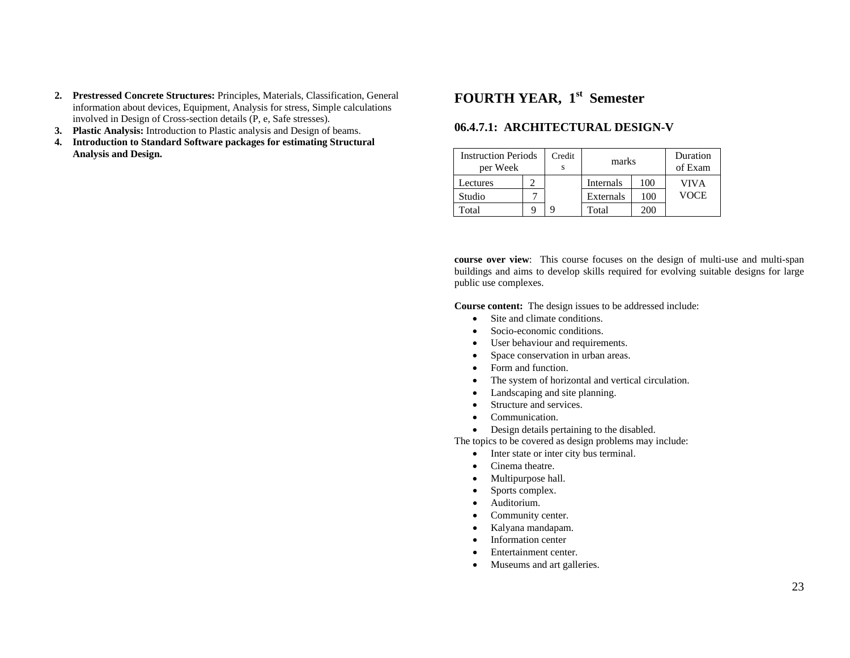- **2. Prestressed Concrete Structures:** Principles, Materials, Classification, General information about devices, Equipment, Analysis for stress, Simple calculations involved in Design of Cross-section details (P, e, Safe stresses).
- **3. Plastic Analysis:** Introduction to Plastic analysis and Design of beams.
- **4. Introduction to Standard Software packages for estimating Structural Analysis and Design.**

# **FOURTH YEAR, 1st Semester**

## **06.4.7.1: ARCHITECTURAL DESIGN-V**

| <b>Instruction Periods</b><br>per Week |  | Credit | marks     |     | Duration<br>of Exam |
|----------------------------------------|--|--------|-----------|-----|---------------------|
| Lectures                               |  |        | Internals | 100 | VIVA                |
| Studio                                 |  |        | Externals | 100 | VOCE                |
| Total                                  |  |        | Total     | 200 |                     |

**course over view**: This course focuses on the design of multi-use and multi-span buildings and aims to develop skills required for evolving suitable designs for large public use complexes.

**Course content:** The design issues to be addressed include:

- •Site and climate conditions.
- •Socio-economic conditions.
- •User behaviour and requirements.
- •Space conservation in urban areas.
- •Form and function.
- •The system of horizontal and vertical circulation.
- •Landscaping and site planning.
- •Structure and services.
- •Communication.
- •Design details pertaining to the disabled.

The topics to be covered as design problems may include:

- •Inter state or inter city bus terminal.
- •Cinema theatre.
- •Multipurpose hall.
- •Sports complex.
- •Auditorium.
- •Community center.
- •Kalyana mandapam.
- •Information center
- •Entertainment center.
- •Museums and art galleries.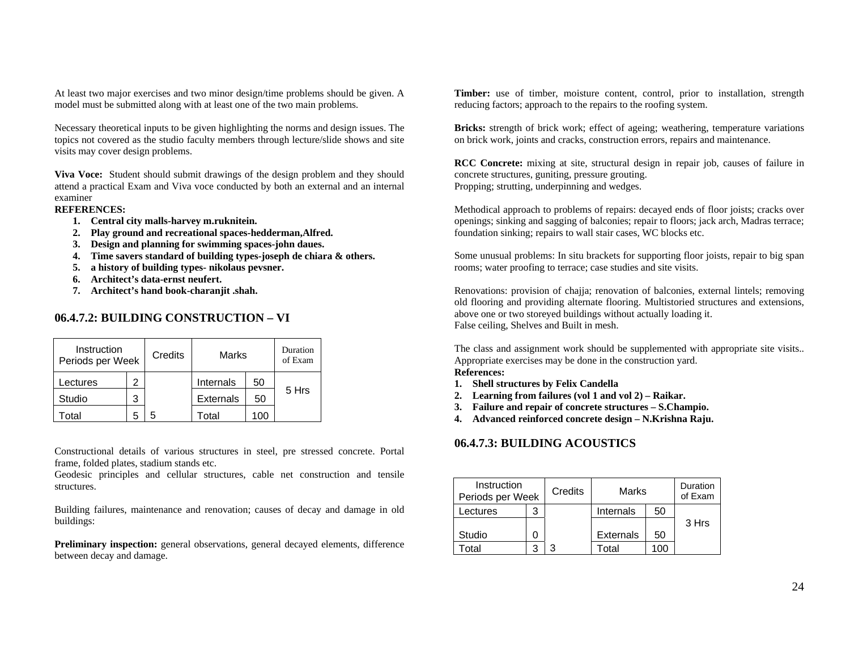At least two major exercises and two minor design/time problems should be given. A model must be submitted along with at least one of the two main problems.

Necessary theoretical inputs to be given highlighting the norms and design issues. The topics not covered as the studio faculty members through lecture/slide shows and site visits may cover design problems.

**Viva Voce:** Student should submit drawings of the design problem and they should attend a practical Exam and Viva voce conducted by both an external and an internal examiner

#### **REFERENCES:**

- **1. Central city malls-harvey m.ruknitein.**
- **2. Play ground and recreational spaces-hedderman,Alfred.**
- **3. Design and planning for swimming spaces-john daues.**
- **4. Time savers standard of building types-joseph de chiara & others.**
- **5. a history of building types- nikolaus pevsner.**
- **6. Architect's data-ernst neufert.**
- **7. Architect's hand book-charanjit .shah.**

## **06.4.7.2: BUILDING CONSTRUCTION – VI**

| Instruction<br>Periods per Week |   | Credits | Marks            |     | Duration<br>of Exam |
|---------------------------------|---|---------|------------------|-----|---------------------|
| .ectures                        | 2 |         | Internals        | 50  |                     |
| Studio                          | 3 |         | <b>Externals</b> | 50  | 5 Hrs               |
| otal                            | h |         | Total            | 100 |                     |

Constructional details of various structures in steel, pre stressed concrete. Portal frame, folded plates, stadium stands etc.

Geodesic principles and cellular structures, cable net construction and tensile structures.

Building failures, maintenance and renovation; causes of decay and damage in old buildings:

**Preliminary inspection:** general observations, general decayed elements, difference between decay and damage.

**Timber:** use of timber, moisture content, control, prior to installation, strength reducing factors; approach to the repairs to the roofing system.

**Bricks:** strength of brick work; effect of ageing; weathering, temperature variations on brick work, joints and cracks, construction errors, repairs and maintenance.

**RCC Concrete:** mixing at site, structural design in repair job, causes of failure in concrete structures, guniting, pressure grouting. Propping; strutting, underpinning and wedges.

Methodical approach to problems of repairs: decayed ends of floor joists; cracks over openings; sinking and sagging of balconies; repair to floors; jack arch, Madras terrace; foundation sinking; repairs to wall stair cases, WC blocks etc.

Some unusual problems: In situ brackets for supporting floor joists, repair to big span rooms; water proofing to terrace; case studies and site visits.

Renovations: provision of chajja; renovation of balconies, external lintels; removing old flooring and providing alternate flooring. Multistoried structures and extensions, above one or two storeyed buildings without actually loading it. False ceiling, Shelves and Built in mesh.

The class and assignment work should be supplemented with appropriate site visits.. Appropriate exercises may be done in the construction yard. **References:**

- **1. Shell structures by Felix Candella**
- **2. Learning from failures (vol 1 and vol 2) Raikar.**
- **3. Failure and repair of concrete structures S.Champio.**
- **4. Advanced reinforced concrete design N.Krishna Raju.**

## **06.4.7.3: BUILDING ACOUSTICS**

| Instruction<br>Periods per Week | Credits | Marks            |     | Duration<br>of Exam |
|---------------------------------|---------|------------------|-----|---------------------|
| Lectures                        |         | Internals        | 50  |                     |
|                                 |         |                  |     | 3 Hrs               |
| Studio                          |         | <b>Externals</b> | 50  |                     |
| otal                            | 3       | Total            | 100 |                     |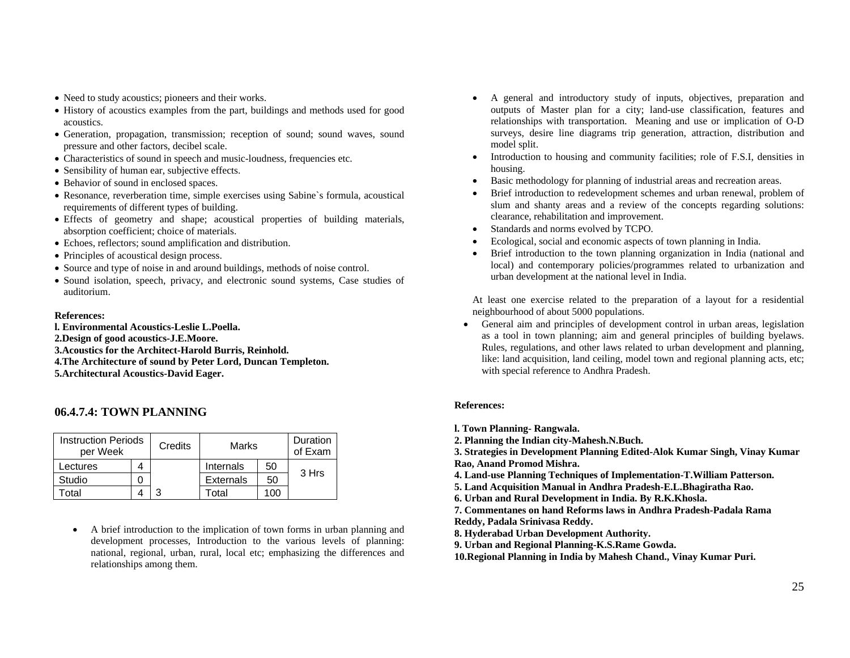- Need to study acoustics; pioneers and their works.
- History of acoustics examples from the part, buildings and methods used for good acoustics.
- Generation, propagation, transmission; reception of sound; sound waves, sound pressure and other factors, decibel scale.
- Characteristics of sound in speech and music-loudness, frequencies etc.
- Sensibility of human ear, subjective effects.
- Behavior of sound in enclosed spaces.
- Resonance, reverberation time, simple exercises using Sabine`s formula, acoustical requirements of different types of building.
- Effects of geometry and shape; acoustical properties of building materials, absorption coefficient; choice of materials.
- Echoes, reflectors; sound amplification and distribution.
- Principles of acoustical design process.
- Source and type of noise in and around buildings, methods of noise control.
- Sound isolation, speech, privacy, and electronic sound systems, Case studies of auditorium.

#### **References:**

**l. Environmental Acoustics-Leslie L.Poella. 2.Design of good acoustics-J.E.Moore. 3.Acoustics for the Architect-Harold Burris, Reinhold. 4.The Architecture of sound by Peter Lord, Duncan Templeton. 5.Architectural Acoustics-David Eager.** 

## **06.4.7.4: TOWN PLANNING**

| <b>Instruction Periods</b><br>per Week |  | Credits | Marks            |     | Duration<br>of Exam |
|----------------------------------------|--|---------|------------------|-----|---------------------|
| Lectures                               |  |         | Internals        | 50  |                     |
| Studio                                 |  |         | <b>Externals</b> | 50  | 3 Hrs               |
| Γ∩tal                                  |  | າ       | Total            | 100 |                     |

• A brief introduction to the implication of town forms in urban planning and development processes, Introduction to the various levels of planning: national, regional, urban, rural, local etc; emphasizing the differences and relationships among them.

- • A general and introductory study of inputs, objectives, preparation and outputs of Master plan for a city; land-use classification, features and relationships with transportation. Meaning and use or implication of O-D surveys, desire line diagrams trip generation, attraction, distribution and model split.
- • Introduction to housing and community facilities; role of F.S.I, densities in housing.
- •Basic methodology for planning of industrial areas and recreation areas.
- • Brief introduction to redevelopment schemes and urban renewal, problem of slum and shanty areas and a review of the concepts regarding solutions: clearance, rehabilitation and improvement.
- •Standards and norms evolved by TCPO.
- •Ecological, social and economic aspects of town planning in India.
- • Brief introduction to the town planning organization in India (national and local) and contemporary policies/programmes related to urbanization and urban development at the national level in India.

At least one exercise related to the preparation of a layout for a residential neighbourhood of about 5000 populations.

• General aim and principles of development control in urban areas, legislation as a tool in town planning; aim and general principles of building byelaws. Rules, regulations, and other laws related to urban development and planning, like: land acquisition, land ceiling, model town and regional planning acts, etc; with special reference to Andhra Pradesh.

## **References:**

- **l. Town Planning- Rangwala.**
- **2. Planning the Indian city-Mahesh.N.Buch.**

**3. Strategies in Development Planning Edited-Alok Kumar Singh, Vinay Kumar Rao, Anand Promod Mishra.** 

**4. Land-use Planning Techniques of Implementation-T.William Patterson.** 

- **5. Land Acquisition Manual in Andhra Pradesh-E.L.Bhagiratha Rao.**
- **6. Urban and Rural Development in India. By R.K.Khosla.**

**7. Commentanes on hand Reforms laws in Andhra Pradesh-Padala Rama** 

**Reddy, Padala Srinivasa Reddy.** 

- **8. Hyderabad Urban Development Authority.**
- **9. Urban and Regional Planning-K.S.Rame Gowda.**

**10.Regional Planning in India by Mahesh Chand., Vinay Kumar Puri.**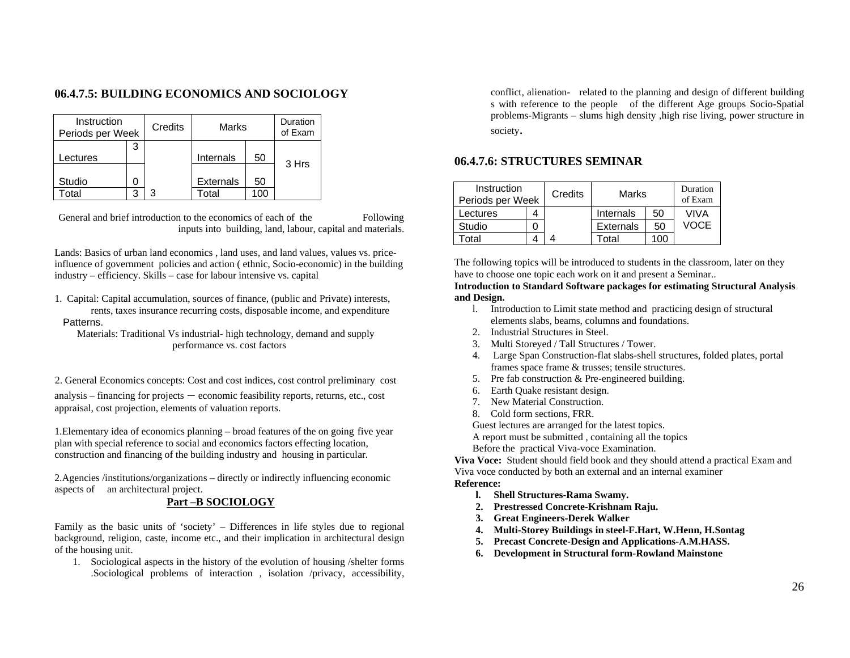## **06.4.7.5: BUILDING ECONOMICS AND SOCIOLOGY**

| Instruction<br>Periods per Week |   | Credits | Marks            |     | Duration<br>of Exam |
|---------------------------------|---|---------|------------------|-----|---------------------|
| .ectures                        | 3 |         | Internals        | 50  |                     |
| Studio                          |   |         | <b>Externals</b> | 50  | 3 Hrs               |
| otal                            | З | 3       | Total            | 100 |                     |

General and brief introduction to the economics of each of the Following inputs into building, land, labour, capital and materials.

Lands: Basics of urban land economics , land uses, and land values, values vs. priceinfluence of government policies and action ( ethnic, Socio-economic) in the building industry – efficiency. Skills – case for labour intensive vs. capital

1. Capital: Capital accumulation, sources of finance, (public and Private) interests, rents, taxes insurance recurring costs, disposable income, and expenditure Patterns.

 Materials: Traditional Vs industrial- high technology, demand and supply performance vs. cost factors

2. General Economics concepts: Cost and cost indices, cost control preliminary cost

analysis – financing for projects – economic feasibility reports, returns, etc., cost appraisal, cost projection, elements of valuation reports.

1.Elementary idea of economics planning – broad features of the on going five year plan with special reference to social and economics factors effecting location, construction and financing of the building industry and housing in particular.

2.Agencies /institutions/organizations – directly or indirectly influencing economic aspects of an architectural project.

## **Part –B SOCIOLOGY**

Family as the basic units of 'society' – Differences in life styles due to regional background, religion, caste, income etc., and their implication in architectural design of the housing unit.

1. Sociological aspects in the history of the evolution of housing /shelter forms .Sociological problems of interaction , isolation /privacy, accessibility,

conflict, alienation- related to the planning and design of different building s with reference to the people of the different Age groups Socio-Spatial problems-Migrants – slums high density ,high rise living, power structure in society.

## **06.4.7.6: STRUCTURES SEMINAR**

| Instruction<br>Periods per Week | Credits | Marks            |     | Duration<br>of Exam |
|---------------------------------|---------|------------------|-----|---------------------|
| Lectures                        |         | Internals        | 50  | VIVA                |
| Studio                          |         | <b>Externals</b> | 50  | VOCE                |
| <b>Total</b>                    |         | Total            | 100 |                     |

The following topics will be introduced to students in the classroom, later on they have to choose one topic each work on it and present a Seminar..

#### **Introduction to Standard Software packages for estimating Structural Analysis and Design.**

- l. Introduction to Limit state method and practicing design of structural elements slabs, beams, columns and foundations.
- 2. Industrial Structures in Steel.
- 3. Multi Storeyed / Tall Structures / Tower.
- 4. Large Span Construction-flat slabs-shell structures, folded plates, portal frames space frame & trusses; tensile structures.
- 5. Pre fab construction & Pre-engineered building.
- 6. Earth Quake resistant design.
- 7. New Material Construction.
- 8. Cold form sections, FRR.

Guest lectures are arranged for the latest topics.

A report must be submitted , containing all the topics

Before the practical Viva-voce Examination.

**Viva Voce:** Student should field book and they should attend a practical Exam and Viva voce conducted by both an external and an internal examiner **Reference:** 

- **l. Shell Structures-Rama Swamy.**
- **2. Prestressed Concrete-Krishnam Raju.**
- **3. Great Engineers-Derek Walker**
- **4. Multi-Storey Buildings in steel-F.Hart, W.Henn, H.Sontag**
- **5. Precast Concrete-Design and Applications-A.M.HASS.**
- **6. Development in Structural form-Rowland Mainstone**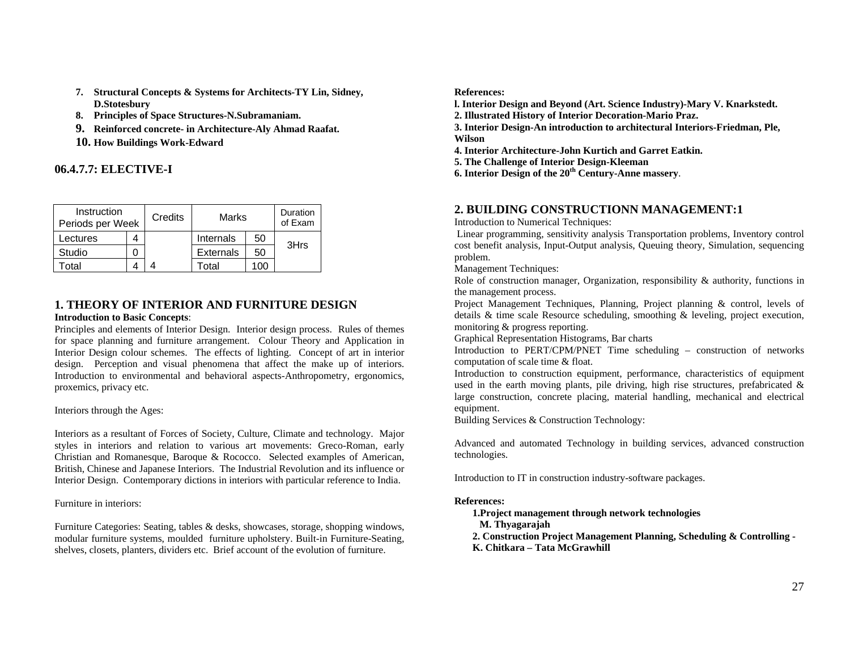- **7. Structural Concepts & Systems for Architects-TY Lin, Sidney, D.Stotesbury**
- **8. Principles of Space Structures-N.Subramaniam.**
- **9. Reinforced concrete- in Architecture-Aly Ahmad Raafat.**
- **10. How Buildings Work-Edward**

## **06.4.7.7: ELECTIVE-I**

| Instruction<br>Periods per Week |  | Credits | Marks            |      | Duration<br>of Exam |
|---------------------------------|--|---------|------------------|------|---------------------|
| Lectures                        |  |         | Internals        | 50   |                     |
| Studio                          |  |         | <b>Externals</b> | 50   | 3Hrs                |
| otal                            |  |         | ⊺otal            | . በቦ |                     |

## **1. THEORY OF INTERIOR AND FURNITURE DESIGN Introduction to Basic Concepts**:

Principles and elements of Interior Design. Interior design process. Rules of themes for space planning and furniture arrangement. Colour Theory and Application in Interior Design colour schemes. The effects of lighting. Concept of art in interior design. Perception and visual phenomena that affect the make up of interiors. Introduction to environmental and behavioral aspects-Anthropometry, ergonomics, proxemics, privacy etc.

Interiors through the Ages:

Interiors as a resultant of Forces of Society, Culture, Climate and technology. Major styles in interiors and relation to various art movements: Greco-Roman, early Christian and Romanesque, Baroque & Rococco. Selected examples of American, British, Chinese and Japanese Interiors. The Industrial Revolution and its influence or Interior Design. Contemporary dictions in interiors with particular reference to India.

Furniture in interiors:

Furniture Categories: Seating, tables & desks, showcases, storage, shopping windows, modular furniture systems, moulded furniture upholstery. Built-in Furniture-Seating, shelves, closets, planters, dividers etc. Brief account of the evolution of furniture.

**References:** 

**l. Interior Design and Beyond (Art. Science Industry)-Mary V. Knarkstedt.** 

**2. Illustrated History of Interior Decoration-Mario Praz.** 

**3. Interior Design-An introduction to architectural Interiors-Friedman, Ple, Wilson** 

**4. Interior Architecture-John Kurtich and Garret Eatkin.** 

- **5. The Challenge of Interior Design-Kleeman**
- **6. Interior Design of the 20th Century-Anne massery**.

## **2. BUILDING CONSTRUCTIONN MANAGEMENT:1**

Introduction to Numerical Techniques:

 Linear programming, sensitivity analysis Transportation problems, Inventory control cost benefit analysis, Input-Output analysis, Queuing theory, Simulation, sequencing problem.

Management Techniques:

Role of construction manager, Organization, responsibility & authority, functions in the management process.

Project Management Techniques, Planning, Project planning & control, levels of details & time scale Resource scheduling, smoothing & leveling, project execution, monitoring & progress reporting.

Graphical Representation Histograms, Bar charts

Introduction to PERT/CPM/PNET Time scheduling – construction of networks computation of scale time & float.

Introduction to construction equipment, performance, characteristics of equipment used in the earth moving plants, pile driving, high rise structures, prefabricated & large construction, concrete placing, material handling, mechanical and electrical equipment.

Building Services & Construction Technology:

Advanced and automated Technology in building services, advanced construction technologies.

Introduction to IT in construction industry-software packages.

#### **References:**

- **1.Project management through network technologies**
- **M. Thyagarajah**
- **2. Construction Project Management Planning, Scheduling & Controlling**
- **K. Chitkara Tata McGrawhill**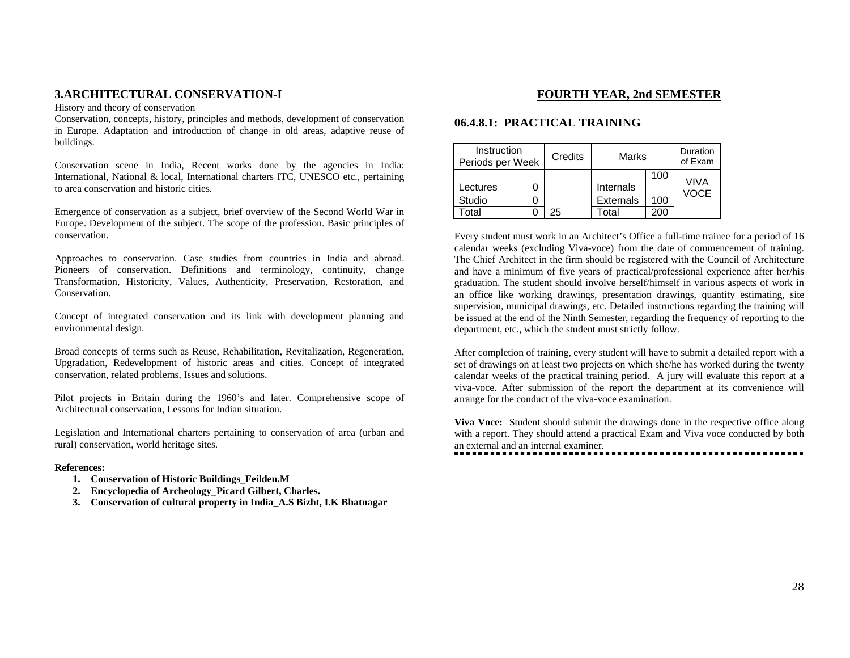## **3.ARCHITECTURAL CONSERVATION-I**

History and theory of conservation

Conservation, concepts, history, principles and methods, development of conservation in Europe. Adaptation and introduction of change in old areas, adaptive reuse of buildings.

Conservation scene in India, Recent works done by the agencies in India: International, National & local, International charters ITC, UNESCO etc., pertaining to area conservation and historic cities.

Emergence of conservation as a subject, brief overview of the Second World War in Europe. Development of the subject. The scope of the profession. Basic principles of conservation.

Approaches to conservation. Case studies from countries in India and abroad. Pioneers of conservation. Definitions and terminology, continuity, change Transformation, Historicity, Values, Authenticity, Preservation, Restoration, and Conservation.

Concept of integrated conservation and its link with development planning and environmental design.

Broad concepts of terms such as Reuse, Rehabilitation, Revitalization, Regeneration, Upgradation, Redevelopment of historic areas and cities. Concept of integrated conservation, related problems, Issues and solutions.

Pilot projects in Britain during the 1960's and later. Comprehensive scope of Architectural conservation, Lessons for Indian situation.

Legislation and International charters pertaining to conservation of area (urban and rural) conservation, world heritage sites.

#### **References:**

- **1. Conservation of Historic Buildings\_Feilden.M**
- **2. Encyclopedia of Archeology\_Picard Gilbert, Charles.**
- **3. Conservation of cultural property in India\_A.S Bizht, I.K Bhatnagar**

## **FOURTH YEAR, 2nd SEMESTER**

## **06.4.8.1: PRACTICAL TRAINING**

| Instruction<br>Periods per Week | Credits | Marks            |     | Duration<br>of Exam |
|---------------------------------|---------|------------------|-----|---------------------|
| _ectures                        |         | Internals        | 100 | VIVA<br>VOCE        |
| Studio                          |         | <b>Externals</b> | 100 |                     |
| otal                            | 25      | Total            | 200 |                     |

Every student must work in an Architect's Office a full-time trainee for a period of 16 calendar weeks (excluding Viva-voce) from the date of commencement of training. The Chief Architect in the firm should be registered with the Council of Architecture and have a minimum of five years of practical/professional experience after her/his graduation. The student should involve herself/himself in various aspects of work in an office like working drawings, presentation drawings, quantity estimating, site supervision, municipal drawings, etc. Detailed instructions regarding the training will be issued at the end of the Ninth Semester, regarding the frequency of reporting to the department, etc., which the student must strictly follow.

After completion of training, every student will have to submit a detailed report with a set of drawings on at least two projects on which she/he has worked during the twenty calendar weeks of the practical training period. A jury will evaluate this report at a viva-voce. After submission of the report the department at its convenience will arrange for the conduct of the viva-voce examination.

**Viva Voce:** Student should submit the drawings done in the respective office along with a report. They should attend a practical Exam and Viva voce conducted by both an external and an internal examiner.

...........................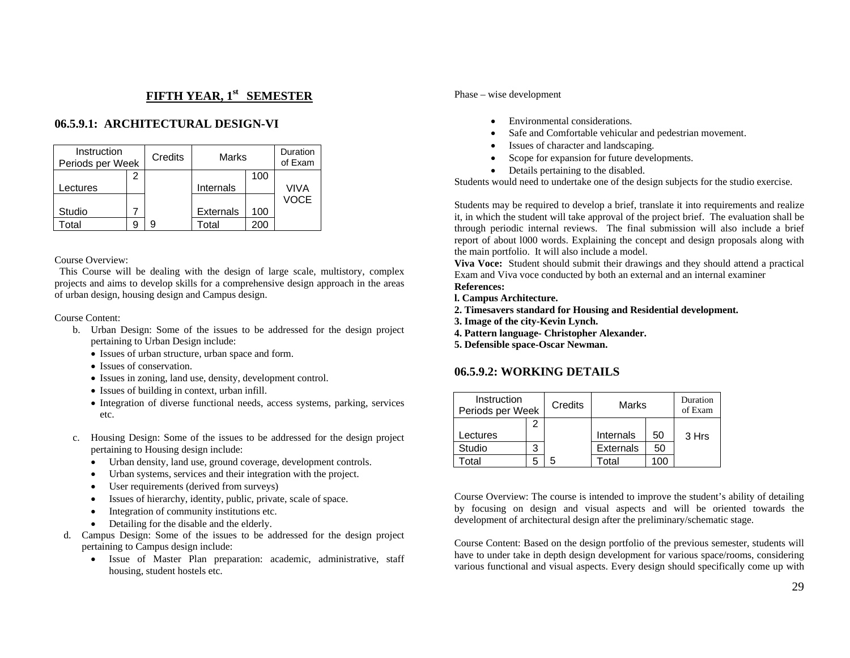## **FIFTH YEAR, 1st SEMESTER**

## **06.5.9.1: ARCHITECTURAL DESIGN-VI**

| Instruction<br>Periods per Week | Credits |                  | Marks |             |
|---------------------------------|---------|------------------|-------|-------------|
|                                 |         |                  | 100   |             |
| Lectures                        |         | Internals        |       | VIVA        |
|                                 |         |                  |       | <b>VOCE</b> |
| Studio                          |         | <b>Externals</b> | 100   |             |
| otal                            | g       | Total            | 200   |             |

Course Overview:

 This Course will be dealing with the design of large scale, multistory, complex projects and aims to develop skills for a comprehensive design approach in the areas of urban design, housing design and Campus design.

Course Content:

- b. Urban Design: Some of the issues to be addressed for the design project pertaining to Urban Design include:
	- Issues of urban structure, urban space and form.
	- Issues of conservation.
	- Issues in zoning, land use, density, development control.
	- Issues of building in context, urban infill.
	- Integration of diverse functional needs, access systems, parking, services etc.
- c. Housing Design: Some of the issues to be addressed for the design project pertaining to Housing design include:
	- Urban density, land use, ground coverage, development controls.
	- Urban systems, services and their integration with the project.
	- •User requirements (derived from surveys)
	- Issues of hierarchy, identity, public, private, scale of space.
	- •Integration of community institutions etc.
	- •Detailing for the disable and the elderly.
- d. Campus Design: Some of the issues to be addressed for the design project pertaining to Campus design include:
	- • Issue of Master Plan preparation: academic, administrative, staff housing, student hostels etc.

#### Phase – wise development

- •Environmental considerations.
- •Safe and Comfortable vehicular and pedestrian movement.
- Issues of character and landscaping.
- •Scope for expansion for future developments.
- Details pertaining to the disabled.

Students would need to undertake one of the design subjects for the studio exercise.

Students may be required to develop a brief, translate it into requirements and realize it, in which the student will take approval of the project brief. The evaluation shall be through periodic internal reviews. The final submission will also include a brief report of about l000 words. Explaining the concept and design proposals along with the main portfolio. It will also include a model.

**Viva Voce:** Student should submit their drawings and they should attend a practical Exam and Viva voce conducted by both an external and an internal examiner **References:** 

- **l. Campus Architecture.**
- **2. Timesavers standard for Housing and Residential development.**
- **3. Image of the city-Kevin Lynch.**
- **4. Pattern language- Christopher Alexander.**
- **5. Defensible space-Oscar Newman.**

## **06.5.9.2: WORKING DETAILS**

| Instruction<br>Periods per Week |   | Credits | Marks            |    | Duration<br>of Exam |
|---------------------------------|---|---------|------------------|----|---------------------|
|                                 |   |         |                  |    |                     |
| Lectures                        |   |         | Internals        | 50 | 3 Hrs               |
| Studio                          | 3 |         | <b>Externals</b> | 50 |                     |
| otal                            |   | 5       | Total            | 00 |                     |

Course Overview: The course is intended to improve the student's ability of detailing by focusing on design and visual aspects and will be oriented towards the development of architectural design after the preliminary/schematic stage.

Course Content: Based on the design portfolio of the previous semester, students will have to under take in depth design development for various space/rooms, considering various functional and visual aspects. Every design should specifically come up with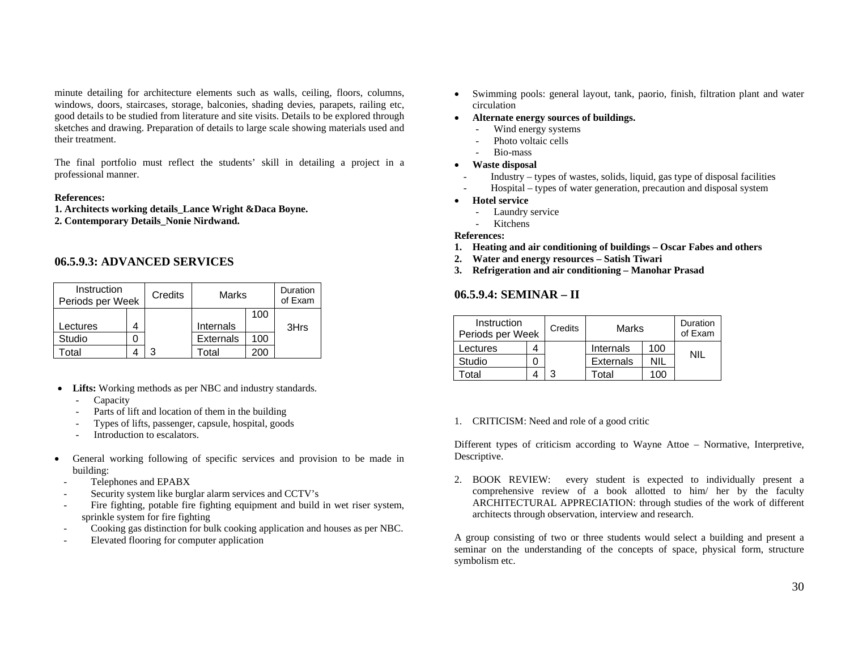minute detailing for architecture elements such as walls, ceiling, floors, columns, windows, doors, staircases, storage, balconies, shading devies, parapets, railing etc, good details to be studied from literature and site visits. Details to be explored through sketches and drawing. Preparation of details to large scale showing materials used and their treatment.

The final portfolio must reflect the students' skill in detailing a project in a professional manner.

#### **References:**

**1. Architects working details\_Lance Wright &Daca Boyne.** 

**2. Contemporary Details\_Nonie Nirdwand.** 

## **06.5.9.3: ADVANCED SERVICES**

| Instruction<br>Periods per Week |  | Credits | Marks            |     | Duration<br>of Exam |
|---------------------------------|--|---------|------------------|-----|---------------------|
|                                 |  |         | 100              |     |                     |
| Lectures                        |  |         | Internals        |     | 3Hrs                |
| Studio                          |  |         | <b>Externals</b> | 100 |                     |
| otal                            |  |         | Гоtal            | ასს |                     |

- **Lifts:** Working methods as per NBC and industry standards.
	- Capacity
	- Parts of lift and location of them in the building
	- Types of lifts, passenger, capsule, hospital, goods
	- Introduction to escalators.
- • General working following of specific services and provision to be made in building:
	- Telephones and EPABX
	- Security system like burglar alarm services and CCTV's
	- Fire fighting, potable fire fighting equipment and build in wet riser system, sprinkle system for fire fighting
	- Cooking gas distinction for bulk cooking application and houses as per NBC.
	- Elevated flooring for computer application
- • Swimming pools: general layout, tank, paorio, finish, filtration plant and water circulation
- **Alternate energy sources of buildings.**
	- -Wind energy systems
	- Photo voltaic cells
	- Bio-mass
- **Waste disposal**
- Industry types of wastes, solids, liquid, gas type of disposal facilities
- Hospital types of water generation, precaution and disposal system
- **Hotel service**
	- Laundry service
	- -Kitchens

#### **References:**

- **1. Heating and air conditioning of buildings Oscar Fabes and others**
- **2. Water and energy resources Satish Tiwari**
- **3. Refrigeration and air conditioning Manohar Prasad**

## **06.5.9.4: SEMINAR – II**

| Instruction<br>Periods per Week | Credits | Marks            |     | Duration<br>of Exam |
|---------------------------------|---------|------------------|-----|---------------------|
| Lectures                        |         | Internals        | 100 |                     |
| Studio                          |         | <b>Externals</b> | NIL | ΝIΙ                 |
| otal                            |         | otal.            | 10C |                     |

1. CRITICISM: Need and role of a good critic

Different types of criticism according to Wayne Attoe – Normative, Interpretive, Descriptive.

2. BOOK REVIEW: every student is expected to individually present a comprehensive review of a book allotted to him/ her by the faculty ARCHITECTURAL APPRECIATION: through studies of the work of different architects through observation, interview and research.

A group consisting of two or three students would select a building and present a seminar on the understanding of the concepts of space, physical form, structure symbolism etc.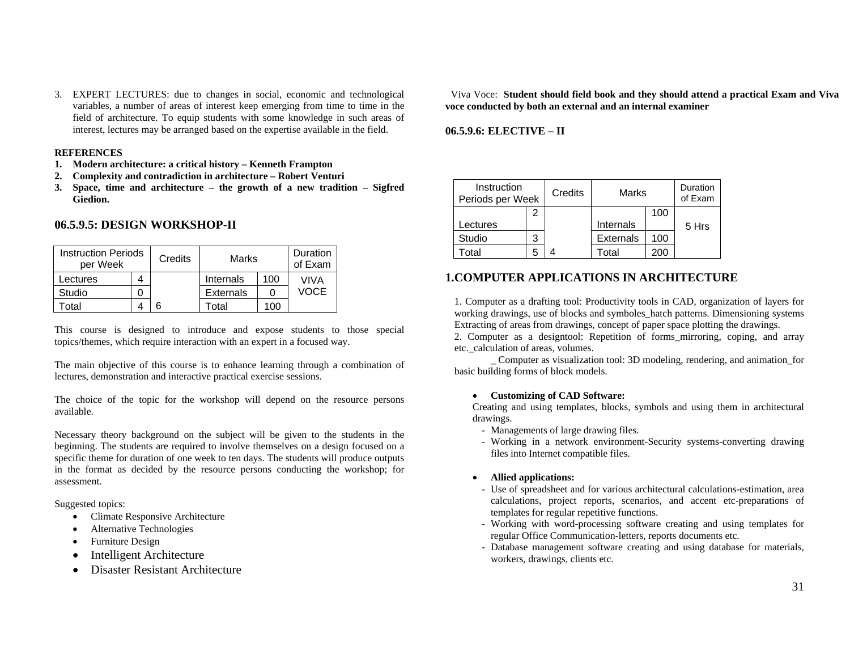3. EXPERT LECTURES: due to changes in social, economic and technological variables, a number of areas of interest keep emerging from time to time in the field of architecture. To equip students with some knowledge in such areas of interest, lectures may be arranged based on the expertise available in the field.

#### **REFERENCES**

- **1. Modern architecture: a critical history Kenneth Frampton**
- **2. Complexity and contradiction in architecture Robert Venturi**
- **3. Space, time and architecture the growth of a new tradition Sigfred Giedion.**

#### **06.5.9.5: DESIGN WORKSHOP-II**

| <b>Instruction Periods</b><br>per Week | Credits | Marks            |     | Duration<br>of Exam |
|----------------------------------------|---------|------------------|-----|---------------------|
| Lectures                               |         | Internals        | 100 | VIVA                |
| Studio                                 |         | <b>Externals</b> |     | VOCE                |
| otal <sup>-</sup>                      |         | ⊺otal            | 100 |                     |

This course is designed to introduce and expose students to those special topics/themes, which require interaction with an expert in a focused way.

The main objective of this course is to enhance learning through a combination of lectures, demonstration and interactive practical exercise sessions.

The choice of the topic for the workshop will depend on the resource persons available.

Necessary theory background on the subject will be given to the students in the beginning. The students are required to involve themselves on a design focused on a specific theme for duration of one week to ten days. The students will produce outputs in the format as decided by the resource persons conducting the workshop; for assessment.

Suggested topics:

- •Climate Responsive Architecture
- •Alternative Technologies
- •Furniture Design
- $\bullet$ Intelligent Architecture
- •Disaster Resistant Architecture

Viva Voce: **Student should field book and they should attend a practical Exam and Viva voce conducted by both an external and an internal examiner**

## **06.5.9.6: ELECTIVE – II**

| Instruction<br>Periods per Week |   | Credits | Marks            |     | Duration<br>of Exam |
|---------------------------------|---|---------|------------------|-----|---------------------|
|                                 |   |         | 100              |     |                     |
| Lectures                        |   |         | Internals        |     | 5 Hrs               |
| Studio                          | 3 |         | <b>Externals</b> | 100 |                     |
| otal                            |   |         | Total            | 200 |                     |

## **1.COMPUTER APPLICATIONS IN ARCHITECTURE**

1. Computer as a drafting tool: Productivity tools in CAD, organization of layers for working drawings, use of blocks and symboles\_hatch patterns. Dimensioning systems Extracting of areas from drawings, concept of paper space plotting the drawings.

2. Computer as a designtool: Repetition of forms\_mirroring, coping, and array etc. calculation of areas, volumes.

 \_ Computer as visualization tool: 3D modeling, rendering, and animation\_for basic building forms of block models.

#### • **Customizing of CAD Software:**

Creating and using templates, blocks, symbols and using them in architectural drawings.

- Managements of large drawing files.
- Working in a network environment-Security systems-converting drawing files into Internet compatible files.

#### •**Allied applications:**

- Use of spreadsheet and for various architectural calculations-estimation, area calculations, project reports, scenarios, and accent etc-preparations of templates for regular repetitive functions.
- Working with word-processing software creating and using templates for regular Office Communication-letters, reports documents etc.
- Database management software creating and using database for materials, workers, drawings, clients etc.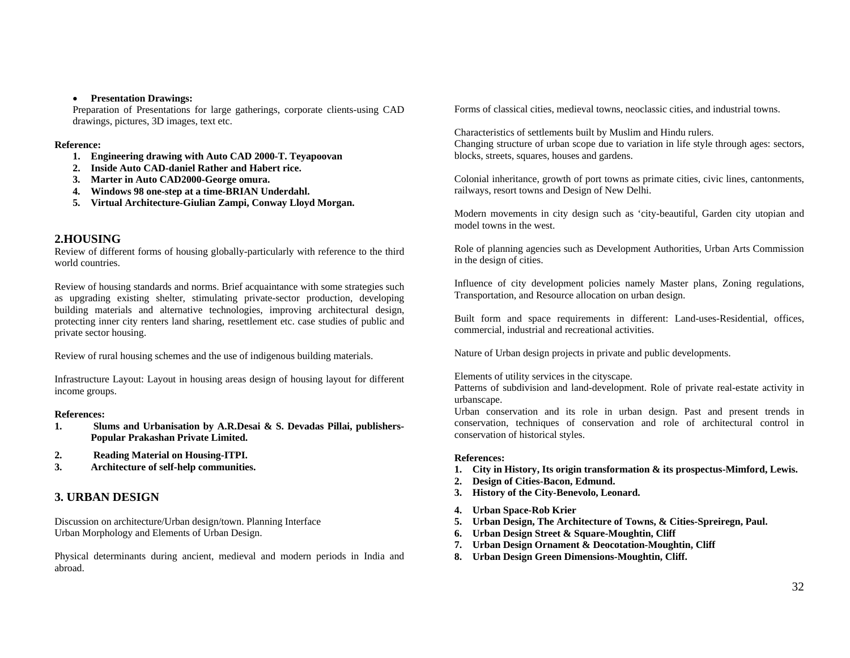#### • **Presentation Drawings:**

Preparation of Presentations for large gatherings, corporate clients-using CAD drawings, pictures, 3D images, text etc.

#### **Reference:**

- **1. Engineering drawing with Auto CAD 2000-T. Teyapoovan**
- **2. Inside Auto CAD-daniel Rather and Habert rice.**
- **3. Marter in Auto CAD2000-George omura.**
- **4. Windows 98 one-step at a time-BRIAN Underdahl.**
- **5. Virtual Architecture-Giulian Zampi, Conway Lloyd Morgan.**

#### **2.HOUSING**

Review of different forms of housing globally-particularly with reference to the third world countries.

Review of housing standards and norms. Brief acquaintance with some strategies such as upgrading existing shelter, stimulating private-sector production, developing building materials and alternative technologies, improving architectural design, protecting inner city renters land sharing, resettlement etc. case studies of public and private sector housing.

Review of rural housing schemes and the use of indigenous building materials.

Infrastructure Layout: Layout in housing areas design of housing layout for different income groups.

#### **References:**

- **1. Slums and Urbanisation by A.R.Desai & S. Devadas Pillai, publishers-Popular Prakashan Private Limited.**
- **2. Reading Material on Housing-ITPI.**
- **3. Architecture of self-help communities.**

## **3. URBAN DESIGN**

Discussion on architecture/Urban design/town. Planning Interface Urban Morphology and Elements of Urban Design.

Physical determinants during ancient, medieval and modern periods in India and abroad.

Forms of classical cities, medieval towns, neoclassic cities, and industrial towns.

Characteristics of settlements built by Muslim and Hindu rulers. Changing structure of urban scope due to variation in life style through ages: sectors, blocks, streets, squares, houses and gardens.

Colonial inheritance, growth of port towns as primate cities, civic lines, cantonments, railways, resort towns and Design of New Delhi.

Modern movements in city design such as 'city-beautiful, Garden city utopian and model towns in the west.

Role of planning agencies such as Development Authorities, Urban Arts Commission in the design of cities.

Influence of city development policies namely Master plans, Zoning regulations, Transportation, and Resource allocation on urban design.

Built form and space requirements in different: Land-uses-Residential, offices, commercial, industrial and recreational activities.

Nature of Urban design projects in private and public developments.

Elements of utility services in the cityscape.

Patterns of subdivision and land-development. Role of private real-estate activity in urbanscape.

Urban conservation and its role in urban design. Past and present trends in conservation, techniques of conservation and role of architectural control in conservation of historical styles.

#### **References:**

- **1. City in History, Its origin transformation & its prospectus-Mimford, Lewis.**
- **2. Design of Cities-Bacon, Edmund.**
- **3. History of the City-Benevolo, Leonard.**
- **4. Urban Space-Rob Krier**
- **5. Urban Design, The Architecture of Towns, & Cities-Spreiregn, Paul.**
- **6.Urban Design Street & Square-Moughtin, Cliff**
- **7.Urban Design Ornament & Deocotation-Moughtin, Cliff**
- **8. Urban Design Green Dimensions-Moughtin, Cliff.**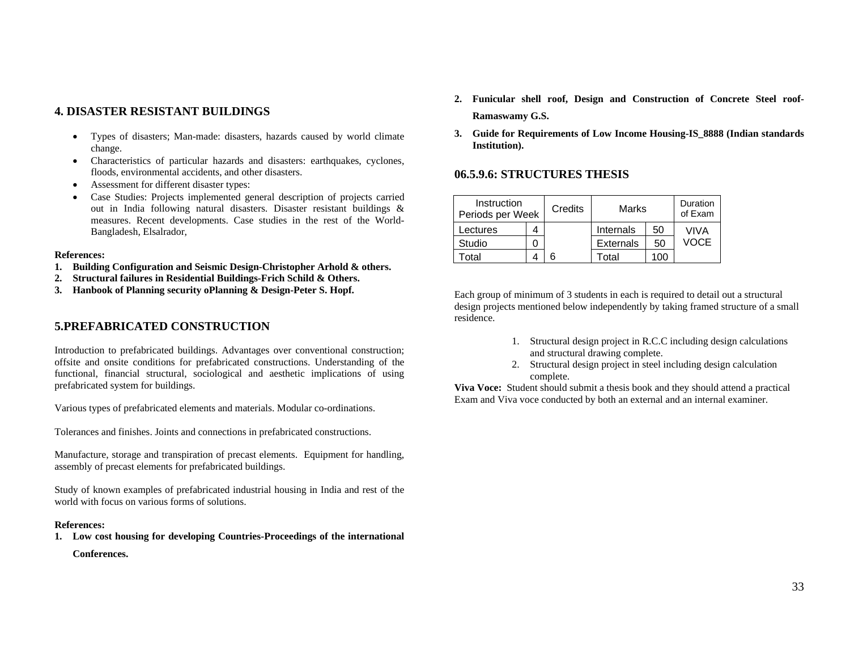## **4. DISASTER RESISTANT BUILDINGS**

- • Types of disasters; Man-made: disasters, hazards caused by world climate change.
- Characteristics of particular hazards and disasters: earthquakes, cyclones, floods, environmental accidents, and other disasters.
- •Assessment for different disaster types:
- • Case Studies: Projects implemented general description of projects carried out in India following natural disasters. Disaster resistant buildings & measures. Recent developments. Case studies in the rest of the World-Bangladesh, Elsalrador,

#### **References:**

- **1. Building Configuration and Seismic Design-Christopher Arhold & others.**
- **2. Structural failures in Residential Buildings-Frich Schild & Others.**
- **3. Hanbook of Planning security oPlanning & Design-Peter S. Hopf.**

## **5.PREFABRICATED CONSTRUCTION**

Introduction to prefabricated buildings. Advantages over conventional construction; offsite and onsite conditions for prefabricated constructions. Understanding of the functional, financial structural, sociological and aesthetic implications of using prefabricated system for buildings.

Various types of prefabricated elements and materials. Modular co-ordinations.

Tolerances and finishes. Joints and connections in prefabricated constructions.

Manufacture, storage and transpiration of precast elements. Equipment for handling, assembly of precast elements for prefabricated buildings.

Study of known examples of prefabricated industrial housing in India and rest of the world with focus on various forms of solutions.

#### **References:**

**1. Low cost housing for developing Countries-Proceedings of the international** 

**Conferences.** 

- **2. Funicular shell roof, Design and Construction of Concrete Steel roof-Ramaswamy G.S.**
- **3. Guide for Requirements of Low Income Housing-IS\_8888 (Indian standards Institution).**

## **06.5.9.6: STRUCTURES THESIS**

| Instruction<br>Periods per Week | Credits | Marks            |     | Duration<br>of Exam |
|---------------------------------|---------|------------------|-----|---------------------|
| Lectures                        |         | Internals        | 50  | VIVA                |
| Studio                          |         | <b>Externals</b> | 50  | VOCE                |
| otal                            |         | Total            | 100 |                     |

Each group of minimum of 3 students in each is required to detail out a structural design projects mentioned below independently by taking framed structure of a small residence.

- 1. Structural design project in R.C.C including design calculations and structural drawing complete.
- 2. Structural design project in steel including design calculation complete.

**Viva Voce:** Student should submit a thesis book and they should attend a practical Exam and Viva voce conducted by both an external and an internal examiner.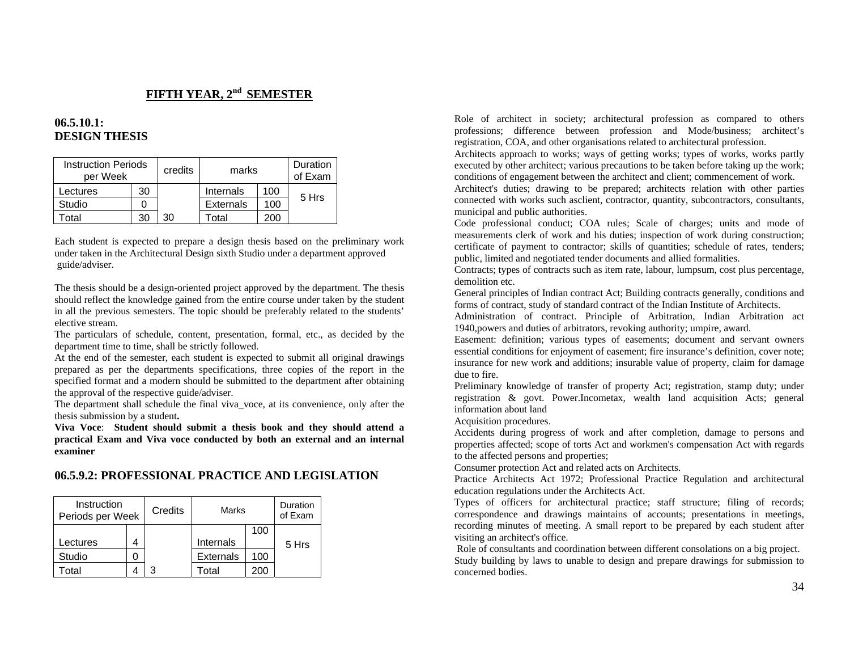## **FIFTH YEAR, 2nd SEMESTER**

## **06.5.10.1: DESIGN THESIS**

| <b>Instruction Periods</b><br>per Week |    | credits | marks            |     | Duration<br>of Exam |
|----------------------------------------|----|---------|------------------|-----|---------------------|
| Lectures                               | 30 |         | Internals        | 100 |                     |
| Studio                                 |    |         | <b>Externals</b> | 100 | 5 Hrs               |
| otal                                   | 30 | 30      | ัดtal            | 200 |                     |

Each student is expected to prepare a design thesis based on the preliminary work under taken in the Architectural Design sixth Studio under a department approved guide/adviser.

The thesis should be a design-oriented project approved by the department. The thesis should reflect the knowledge gained from the entire course under taken by the student in all the previous semesters. The topic should be preferably related to the students' elective stream.

The particulars of schedule, content, presentation, formal, etc., as decided by the department time to time, shall be strictly followed.

At the end of the semester, each student is expected to submit all original drawings prepared as per the departments specifications, three copies of the report in the specified format and a modern should be submitted to the department after obtaining the approval of the respective guide/adviser.

The department shall schedule the final viva\_voce, at its convenience, only after the thesis submission by a student**.** 

**Viva Voce**: **Student should submit a thesis book and they should attend a practical Exam and Viva voce conducted by both an external and an internal examiner** 

## **06.5.9.2: PROFESSIONAL PRACTICE AND LEGISLATION**

| Instruction<br>Periods per Week |  | Credits | <b>Marks</b>     |     | Duration<br>of Exam |
|---------------------------------|--|---------|------------------|-----|---------------------|
|                                 |  |         |                  | 100 |                     |
| Lectures                        |  |         | Internals        |     | 5 Hrs               |
| Studio                          |  |         | <b>Externals</b> | 100 |                     |
| otal                            |  |         | Total            | 200 |                     |

Role of architect in society; architectural profession as compared to others professions; difference between profession and Mode/business; architect's registration, COA, and other organisations related to architectural profession.

Architects approach to works; ways of getting works; types of works, works partly executed by other architect; various precautions to be taken before taking up the work; conditions of engagement between the architect and client; commencement of work.

Architect's duties; drawing to be prepared; architects relation with other parties connected with works such asclient, contractor, quantity, subcontractors, consultants, municipal and public authorities.

Code professional conduct; COA rules; Scale of charges; units and mode of measurements clerk of work and his duties; inspection of work during construction; certificate of payment to contractor; skills of quantities; schedule of rates, tenders; public, limited and negotiated tender documents and allied formalities.

Contracts; types of contracts such as item rate, labour, lumpsum, cost plus percentage, demolition etc.

General principles of Indian contract Act; Building contracts generally, conditions and forms of contract, study of standard contract of the Indian Institute of Architects.

Administration of contract. Principle of Arbitration, Indian Arbitration act 1940,powers and duties of arbitrators, revoking authority; umpire, award.

Easement: definition; various types of easements; document and servant owners essential conditions for enjoyment of easement; fire insurance's definition, cover note; insurance for new work and additions; insurable value of property, claim for damage due to fire.

Preliminary knowledge of transfer of property Act; registration, stamp duty; under registration & govt. Power.Incometax, wealth land acquisition Acts; general information about land

Acquisition procedures.

Accidents during progress of work and after completion, damage to persons and properties affected; scope of torts Act and workmen's compensation Act with regards to the affected persons and properties;

Consumer protection Act and related acts on Architects.

Practice Architects Act 1972; Professional Practice Regulation and architectural education regulations under the Architects Act.

Types of officers for architectural practice; staff structure; filing of records; correspondence and drawings maintains of accounts; presentations in meetings, recording minutes of meeting. A small report to be prepared by each student after visiting an architect's office.

 Role of consultants and coordination between different consolations on a big project. Study building by laws to unable to design and prepare drawings for submission to concerned bodies.